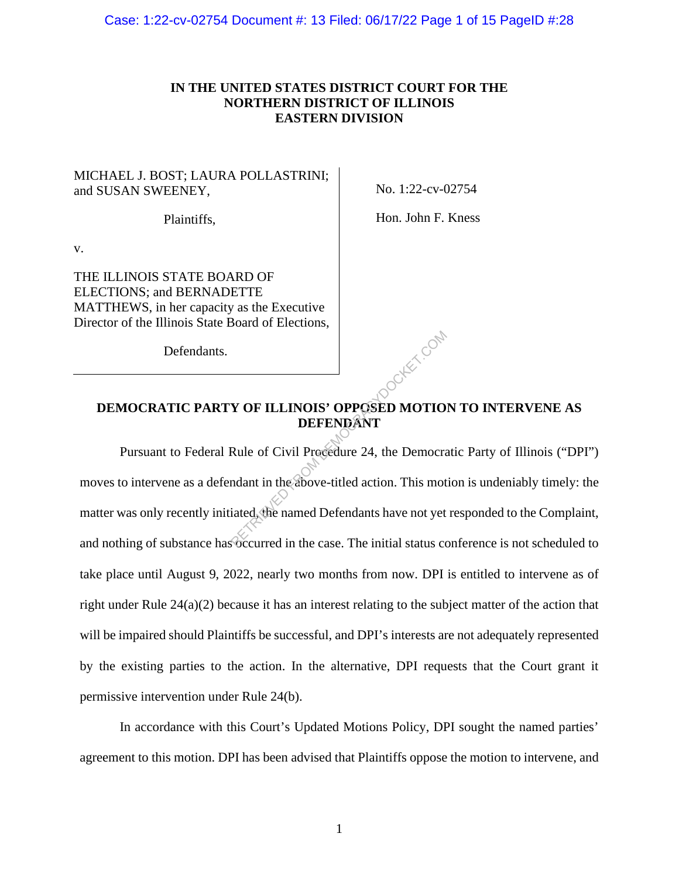## **IN THE UNITED STATES DISTRICT COURT FOR THE NORTHERN DISTRICT OF ILLINOIS EASTERN DIVISION**

## MICHAEL J. BOST; LAURA POLLASTRINI; and SUSAN SWEENEY,

No. 1:22-cv-02754

Plaintiffs,

Hon. John F. Kness

v.

THE ILLINOIS STATE BOARD OF ELECTIONS; and BERNADETTE MATTHEWS, in her capacity as the Executive Director of the Illinois State Board of Elections,

Defendants.

## **DEMOCRATIC PARTY OF ILLINOIS' OPPOSED MOTION TO INTERVENE AS DEFENDANT**

Pursuant to Federal Rule of Civil Procedure 24, the Democratic Party of Illinois ("DPI") moves to intervene as a defendant in the above-titled action. This motion is undeniably timely: the matter was only recently initiated, the named Defendants have not yet responded to the Complaint, and nothing of substance has occurred in the case. The initial status conference is not scheduled to take place until August 9, 2022, nearly two months from now. DPI is entitled to intervene as of right under Rule 24(a)(2) because it has an interest relating to the subject matter of the action that will be impaired should Plaintiffs be successful, and DPI's interests are not adequately represented by the existing parties to the action. In the alternative, DPI requests that the Court grant it permissive intervention under Rule 24(b). Y OF ILLINOIS' OPPOSED MOTION DEFENDANT<br>
Rule of Civil Procedure 24, the Democration<br>
mdant in the above-titled action. This motiated, the named Defendants have not yet

In accordance with this Court's Updated Motions Policy, DPI sought the named parties' agreement to this motion. DPI has been advised that Plaintiffs oppose the motion to intervene, and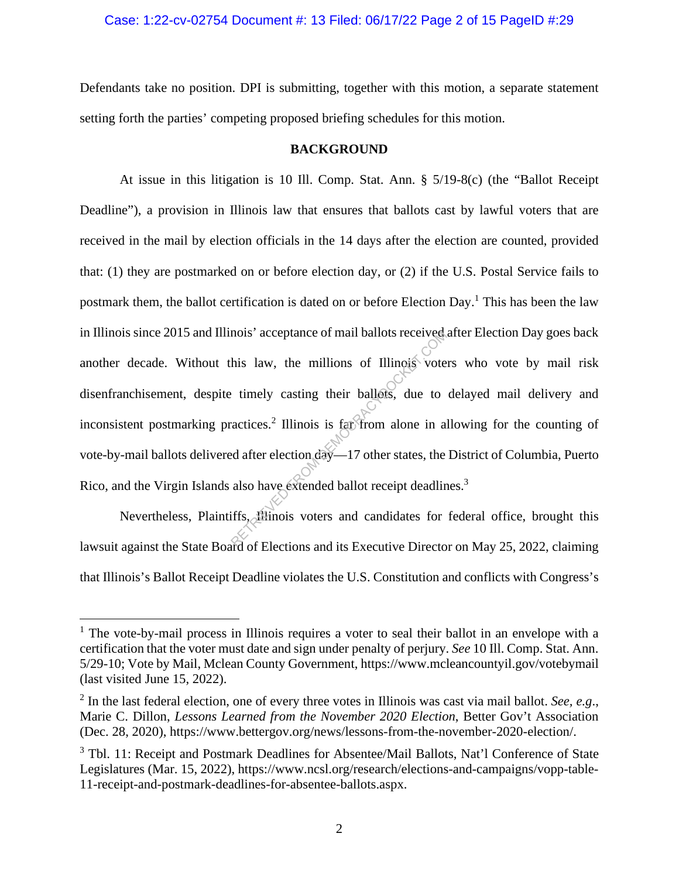## Case: 1:22-cv-02754 Document #: 13 Filed: 06/17/22 Page 2 of 15 PageID #:29

Defendants take no position. DPI is submitting, together with this motion, a separate statement setting forth the parties' competing proposed briefing schedules for this motion.

#### **BACKGROUND**

At issue in this litigation is 10 Ill. Comp. Stat. Ann. § 5/19-8(c) (the "Ballot Receipt Deadline"), a provision in Illinois law that ensures that ballots cast by lawful voters that are received in the mail by election officials in the 14 days after the election are counted, provided that: (1) they are postmarked on or before election day, or (2) if the U.S. Postal Service fails to postmark them, the ballot certification is dated on or before Election Day.<sup>1</sup> This has been the law in Illinois since 2015 and Illinois' acceptance of mail ballots received after Election Day goes back another decade. Without this law, the millions of Illinois voters who vote by mail risk disenfranchisement, despite timely casting their ballots, due to delayed mail delivery and inconsistent postmarking practices.<sup>2</sup> Illinois is far from alone in allowing for the counting of vote-by-mail ballots delivered after election day—17 other states, the District of Columbia, Puerto Rico, and the Virgin Islands also have extended ballot receipt deadlines.<sup>3</sup> nois' acceptance of mail ballots received<br>his law, the millions of Illinois' vote<br>timely casting their ballots, due to<br>actices.<sup>2</sup> Illinois is far from alone in a<br>d after election day—17 other states, the<br>also have extende

Nevertheless, Plaintiffs, Illinois voters and candidates for federal office, brought this lawsuit against the State Board of Elections and its Executive Director on May 25, 2022, claiming that Illinois's Ballot Receipt Deadline violates the U.S. Constitution and conflicts with Congress's

<sup>&</sup>lt;sup>1</sup> The vote-by-mail process in Illinois requires a voter to seal their ballot in an envelope with a certification that the voter must date and sign under penalty of perjury. *See* 10 Ill. Comp. Stat. Ann. 5/29-10; Vote by Mail, Mclean County Government, https://www.mcleancountyil.gov/votebymail (last visited June 15, 2022).

<sup>2</sup> In the last federal election, one of every three votes in Illinois was cast via mail ballot. *See, e.g*., Marie C. Dillon, *Lessons Learned from the November 2020 Election*, Better Gov't Association (Dec. 28, 2020), https://www.bettergov.org/news/lessons-from-the-november-2020-election/.

<sup>&</sup>lt;sup>3</sup> Tbl. 11: Receipt and Postmark Deadlines for Absentee/Mail Ballots, Nat'l Conference of State Legislatures (Mar. 15, 2022), https://www.ncsl.org/research/elections-and-campaigns/vopp-table-11-receipt-and-postmark-deadlines-for-absentee-ballots.aspx.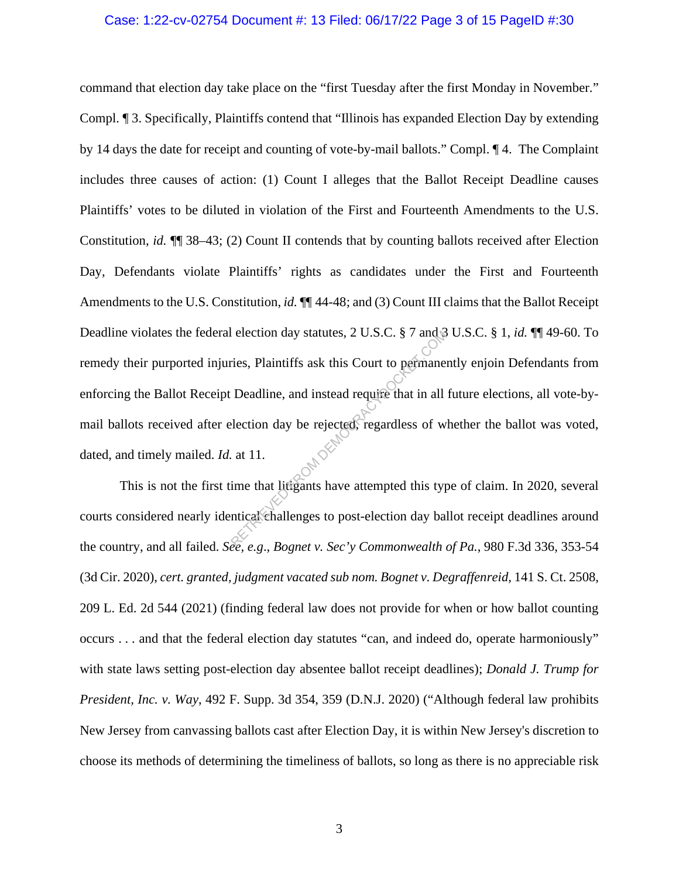#### Case: 1:22-cv-02754 Document #: 13 Filed: 06/17/22 Page 3 of 15 PageID #:30

command that election day take place on the "first Tuesday after the first Monday in November." Compl. ¶ 3. Specifically, Plaintiffs contend that "Illinois has expanded Election Day by extending by 14 days the date for receipt and counting of vote-by-mail ballots." Compl. ¶ 4. The Complaint includes three causes of action: (1) Count I alleges that the Ballot Receipt Deadline causes Plaintiffs' votes to be diluted in violation of the First and Fourteenth Amendments to the U.S. Constitution, *id.* ¶¶ 38–43; (2) Count II contends that by counting ballots received after Election Day, Defendants violate Plaintiffs' rights as candidates under the First and Fourteenth Amendments to the U.S. Constitution, *id.*  $\P$  44-48; and (3) Count III claims that the Ballot Receipt Deadline violates the federal election day statutes, 2 U.S.C. § 7 and 3 U.S.C. § 1, *id.* ¶¶ 49-60. To remedy their purported injuries, Plaintiffs ask this Court to permanently enjoin Defendants from enforcing the Ballot Receipt Deadline, and instead require that in all future elections, all vote-bymail ballots received after election day be rejected, regardless of whether the ballot was voted, dated, and timely mailed. *Id.* at 11. election day statutes, 2 U.S.C. § 7 and §<br>Fies, Plaintiffs ask this Court to permane<br>Deadline, and instead require that in all<br>lection day be rejected, regardless of w<br>at 11.<br>ime that litigants have attempted this typ<br>ntic

This is not the first time that litigants have attempted this type of claim. In 2020, several courts considered nearly identical challenges to post-election day ballot receipt deadlines around the country, and all failed. *See, e.g*., *Bognet v. Sec'y Commonwealth of Pa.*, 980 F.3d 336, 353-54 (3d Cir. 2020), *cert. granted, judgment vacated sub nom. Bognet v. Degraffenreid*, 141 S. Ct. 2508, 209 L. Ed. 2d 544 (2021) (finding federal law does not provide for when or how ballot counting occurs . . . and that the federal election day statutes "can, and indeed do, operate harmoniously" with state laws setting post-election day absentee ballot receipt deadlines); *Donald J. Trump for President, Inc. v. Way*, 492 F. Supp. 3d 354, 359 (D.N.J. 2020) ("Although federal law prohibits New Jersey from canvassing ballots cast after Election Day, it is within New Jersey's discretion to choose its methods of determining the timeliness of ballots, so long as there is no appreciable risk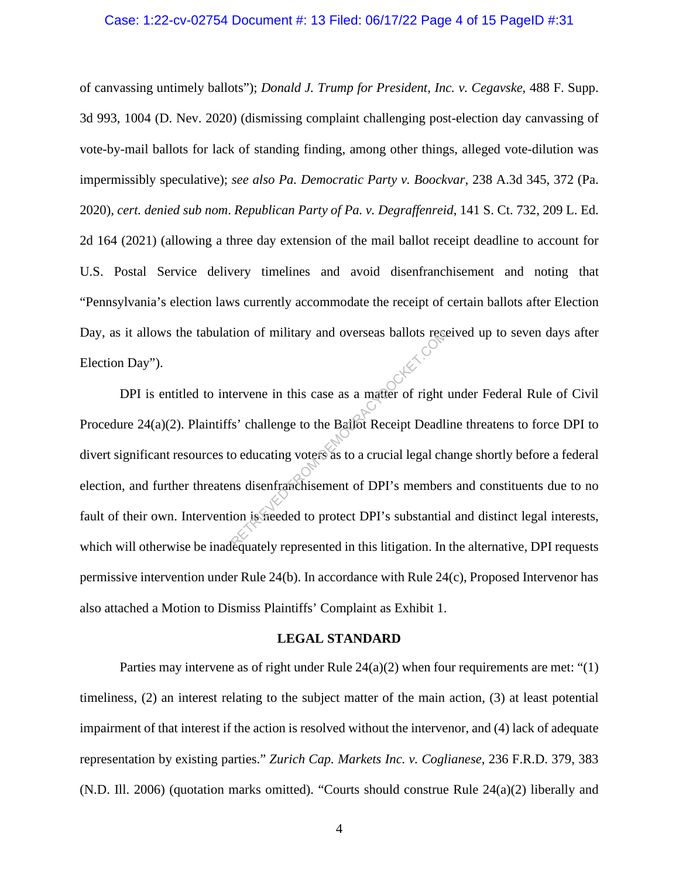#### Case: 1:22-cv-02754 Document #: 13 Filed: 06/17/22 Page 4 of 15 PageID #:31

of canvassing untimely ballots"); *Donald J. Trump for President, Inc. v. Cegavske*, 488 F. Supp. 3d 993, 1004 (D. Nev. 2020) (dismissing complaint challenging post-election day canvassing of vote-by-mail ballots for lack of standing finding, among other things, alleged vote-dilution was impermissibly speculative); *see also Pa. Democratic Party v. Boockvar*, 238 A.3d 345, 372 (Pa. 2020), *cert. denied sub nom*. *Republican Party of Pa. v. Degraffenreid*, 141 S. Ct. 732, 209 L. Ed. 2d 164 (2021) (allowing a three day extension of the mail ballot receipt deadline to account for U.S. Postal Service delivery timelines and avoid disenfranchisement and noting that "Pennsylvania's election laws currently accommodate the receipt of certain ballots after Election Day, as it allows the tabulation of military and overseas ballots received up to seven days after Election Day").

DPI is entitled to intervene in this case as a matter of right under Federal Rule of Civil Procedure 24(a)(2). Plaintiffs' challenge to the Ballot Receipt Deadline threatens to force DPI to divert significant resources to educating voters as to a crucial legal change shortly before a federal election, and further threatens disenfranchisement of DPI's members and constituents due to no fault of their own. Intervention is needed to protect DPI's substantial and distinct legal interests, which will otherwise be inadequately represented in this litigation. In the alternative, DPI requests permissive intervention under Rule 24(b). In accordance with Rule 24(c), Proposed Intervenor has also attached a Motion to Dismiss Plaintiffs' Complaint as Exhibit 1. Extervene in this case as a matter of right<br>tervene in this case as a matter of right<br>is' challenge to the Batlot Receipt Deadli<br>o educating voters as to a crucial legal ch<br>ns disenfranchisement of DPI's member<br>ion is free

#### **LEGAL STANDARD**

Parties may intervene as of right under Rule  $24(a)(2)$  when four requirements are met: "(1) timeliness, (2) an interest relating to the subject matter of the main action, (3) at least potential impairment of that interest if the action is resolved without the intervenor, and (4) lack of adequate representation by existing parties." *Zurich Cap. Markets Inc. v. Coglianese*, 236 F.R.D. 379, 383 (N.D. Ill. 2006) (quotation marks omitted). "Courts should construe Rule 24(a)(2) liberally and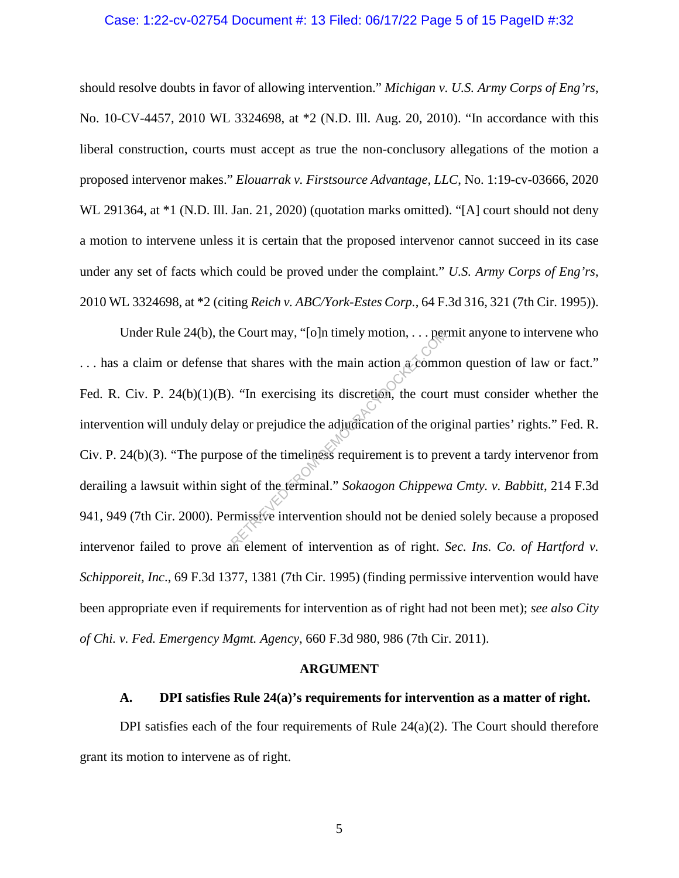#### Case: 1:22-cv-02754 Document #: 13 Filed: 06/17/22 Page 5 of 15 PageID #:32

should resolve doubts in favor of allowing intervention." *Michigan v. U.S. Army Corps of Eng'rs*, No. 10-CV-4457, 2010 WL 3324698, at \*2 (N.D. Ill. Aug. 20, 2010). "In accordance with this liberal construction, courts must accept as true the non-conclusory allegations of the motion a proposed intervenor makes." *Elouarrak v. Firstsource Advantage, LLC*, No. 1:19-cv-03666, 2020 WL 291364, at \*1 (N.D. Ill. Jan. 21, 2020) (quotation marks omitted). "[A] court should not deny a motion to intervene unless it is certain that the proposed intervenor cannot succeed in its case under any set of facts which could be proved under the complaint." *U.S. Army Corps of Eng'rs*, 2010 WL 3324698, at \*2 (citing *Reich v. ABC/York-Estes Corp.*, 64 F.3d 316, 321 (7th Cir. 1995)).

Under Rule 24(b), the Court may, "[o]n timely motion, . . . permit anyone to intervene who ... has a claim or defense that shares with the main action a common question of law or fact." Fed. R. Civ. P. 24(b)(1)(B). "In exercising its discretion, the court must consider whether the intervention will unduly delay or prejudice the adjudication of the original parties' rights." Fed. R. Civ. P. 24(b)(3). "The purpose of the timeliness requirement is to prevent a tardy intervenor from derailing a lawsuit within sight of the terminal." *Sokaogon Chippewa Cmty. v. Babbitt*, 214 F.3d 941, 949 (7th Cir. 2000). Permissive intervention should not be denied solely because a proposed intervenor failed to prove an element of intervention as of right. *Sec. Ins. Co. of Hartford v. Schipporeit, Inc*., 69 F.3d 1377, 1381 (7th Cir. 1995) (finding permissive intervention would have been appropriate even if requirements for intervention as of right had not been met); *see also City of Chi. v. Fed. Emergency Mgmt. Agency*, 660 F.3d 980, 986 (7th Cir. 2011). Example 1 Court may, "[0]n timely motion, ... per<br>hat shares with the main action accomm<br>"<br>"In exercising its discretion, the court<br>y or prejudice the adjudication of the orig<br>see of the timeliness requirement is to pre<br>gh

#### **ARGUMENT**

#### **A. DPI satisfies Rule 24(a)'s requirements for intervention as a matter of right.**

DPI satisfies each of the four requirements of Rule  $24(a)(2)$ . The Court should therefore grant its motion to intervene as of right.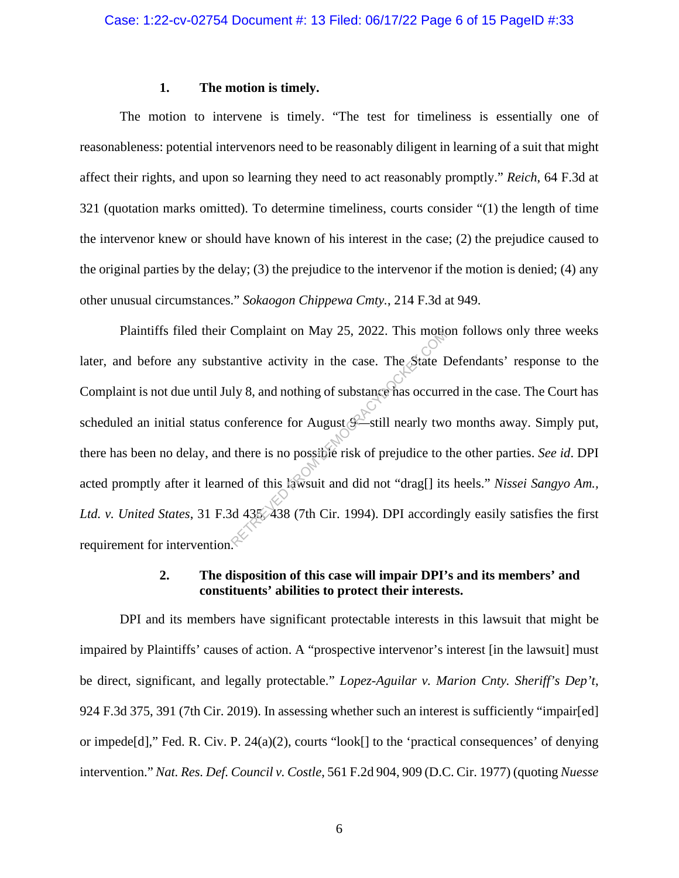### **1. The motion is timely.**

The motion to intervene is timely. "The test for timeliness is essentially one of reasonableness: potential intervenors need to be reasonably diligent in learning of a suit that might affect their rights, and upon so learning they need to act reasonably promptly." *Reich*, 64 F.3d at 321 (quotation marks omitted). To determine timeliness, courts consider "(1) the length of time the intervenor knew or should have known of his interest in the case; (2) the prejudice caused to the original parties by the delay; (3) the prejudice to the intervenor if the motion is denied; (4) any other unusual circumstances." *Sokaogon Chippewa Cmty.*, 214 F.3d at 949.

Plaintiffs filed their Complaint on May 25, 2022. This motion follows only three weeks later, and before any substantive activity in the case. The State Defendants' response to the Complaint is not due until July 8, and nothing of substance has occurred in the case. The Court has scheduled an initial status conference for August  $\mathscr{F}_{\text{still}}$  nearly two months away. Simply put, there has been no delay, and there is no possible risk of prejudice to the other parties. *See id*. DPI acted promptly after it learned of this lawsuit and did not "drag[] its heels." *Nissei Sangyo Am., Ltd. v. United States*, 31 F.3d 435, 438 (7th Cir. 1994). DPI accordingly easily satisfies the first requirement for intervention. Companit on May 23, 2022. This monder<br>antive activity in the case. The State I<br>ly 8, and nothing of substance has occurr<br>onference for August  $\epsilon$  still nearly two<br>there is no possible risk of prejudice to t<br>ed of this la

## **2. The disposition of this case will impair DPI's and its members' and constituents' abilities to protect their interests.**

DPI and its members have significant protectable interests in this lawsuit that might be impaired by Plaintiffs' causes of action. A "prospective intervenor's interest [in the lawsuit] must be direct, significant, and legally protectable." *Lopez-Aguilar v. Marion Cnty. Sheriff's Dep't*, 924 F.3d 375, 391 (7th Cir. 2019). In assessing whether such an interest is sufficiently "impair[ed] or impede[d]," Fed. R. Civ. P. 24(a)(2), courts "look[] to the 'practical consequences' of denying intervention." *Nat. Res. Def. Council v. Costle*, 561 F.2d 904, 909 (D.C. Cir. 1977) (quoting *Nuesse*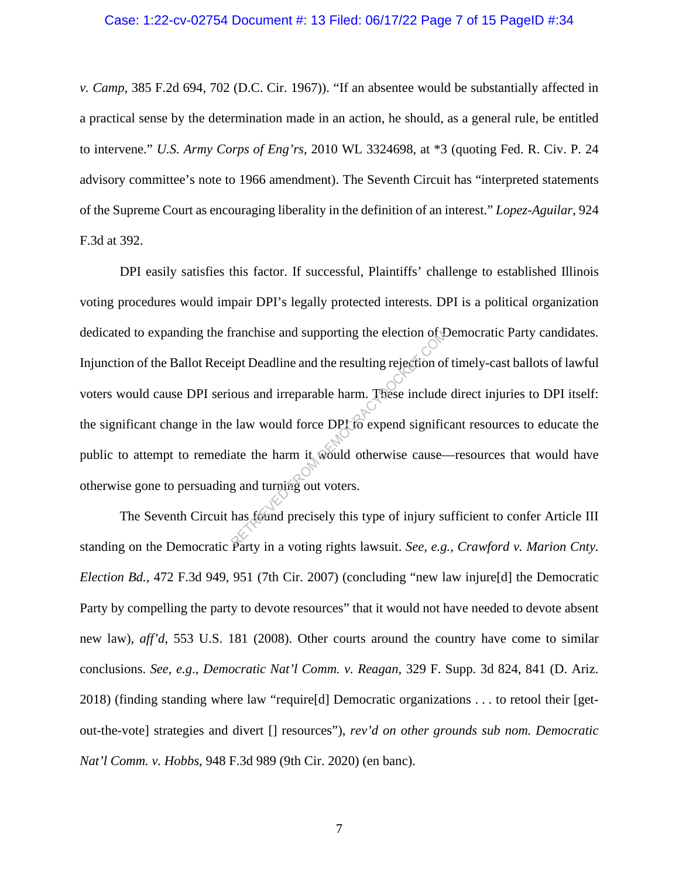#### Case: 1:22-cv-02754 Document #: 13 Filed: 06/17/22 Page 7 of 15 PageID #:34

*v. Camp*, 385 F.2d 694, 702 (D.C. Cir. 1967)). "If an absentee would be substantially affected in a practical sense by the determination made in an action, he should, as a general rule, be entitled to intervene." *U.S. Army Corps of Eng'rs*, 2010 WL 3324698, at \*3 (quoting Fed. R. Civ. P. 24 advisory committee's note to 1966 amendment). The Seventh Circuit has "interpreted statements of the Supreme Court as encouraging liberality in the definition of an interest." *Lopez-Aguilar*, 924 F.3d at 392.

DPI easily satisfies this factor. If successful, Plaintiffs' challenge to established Illinois voting procedures would impair DPI's legally protected interests. DPI is a political organization dedicated to expanding the franchise and supporting the election of Democratic Party candidates. Injunction of the Ballot Receipt Deadline and the resulting rejection of timely-cast ballots of lawful voters would cause DPI serious and irreparable harm. These include direct injuries to DPI itself: the significant change in the law would force DPI to expend significant resources to educate the public to attempt to remediate the harm it would otherwise cause—resources that would have otherwise gone to persuading and turning out voters. ranchise and supporting the election of the resulting rejection of<br>ipt Deadline and the resulting rejection of<br>ous and irreparable harm. These include<br>ate the harm it would otherwise cause-<br>g and turning out voters.<br>has fo

The Seventh Circuit has found precisely this type of injury sufficient to confer Article III standing on the Democratic Party in a voting rights lawsuit. *See, e.g.*, *Crawford v. Marion Cnty. Election Bd.*, 472 F.3d 949, 951 (7th Cir. 2007) (concluding "new law injure[d] the Democratic Party by compelling the party to devote resources" that it would not have needed to devote absent new law), *aff'd*, 553 U.S. 181 (2008). Other courts around the country have come to similar conclusions. *See, e.g*., *Democratic Nat'l Comm. v. Reagan*, 329 F. Supp. 3d 824, 841 (D. Ariz. 2018) (finding standing where law "require[d] Democratic organizations . . . to retool their [getout-the-vote] strategies and divert [] resources"), *rev'd on other grounds sub nom. Democratic Nat'l Comm. v. Hobbs*, 948 F.3d 989 (9th Cir. 2020) (en banc).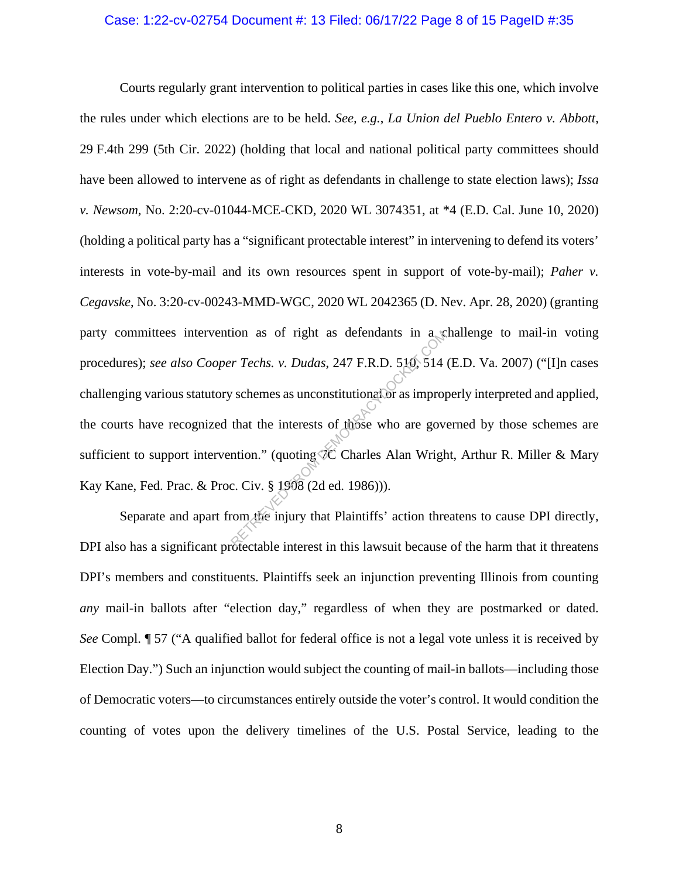#### Case: 1:22-cv-02754 Document #: 13 Filed: 06/17/22 Page 8 of 15 PageID #:35

Courts regularly grant intervention to political parties in cases like this one, which involve the rules under which elections are to be held. *See, e.g.*, *La Union del Pueblo Entero v. Abbott*, 29 F.4th 299 (5th Cir. 2022) (holding that local and national political party committees should have been allowed to intervene as of right as defendants in challenge to state election laws); *Issa v. Newsom*, No. 2:20-cv-01044-MCE-CKD, 2020 WL 3074351, at \*4 (E.D. Cal. June 10, 2020) (holding a political party has a "significant protectable interest" in intervening to defend its voters' interests in vote-by-mail and its own resources spent in support of vote-by-mail); *Paher v. Cegavske*, No. 3:20-cv-00243-MMD-WGC, 2020 WL 2042365 (D. Nev. Apr. 28, 2020) (granting party committees intervention as of right as defendants in a challenge to mail-in voting procedures); *see also Cooper Techs. v. Dudas*, 247 F.R.D. 510, 514 (E.D. Va. 2007) ("[I]n cases challenging various statutory schemes as unconstitutional or as improperly interpreted and applied, the courts have recognized that the interests of those who are governed by those schemes are sufficient to support intervention." (quoting  $\widetilde{C}$  Charles Alan Wright, Arthur R. Miller & Mary Kay Kane, Fed. Prac. & Proc. Civ. § 1908 (2d ed. 1986))). Face Transfer Techs. v. Dudas, 247 F.R.D. 510, 514<br>
Schemes as unconstitutional or as impropriate that the interests of those who are governoon." (quoting TC Charles Alan Wright C. Civ. § 1908 (2d ed. 1986))).

Separate and apart from the injury that Plaintiffs' action threatens to cause DPI directly, DPI also has a significant protectable interest in this lawsuit because of the harm that it threatens DPI's members and constituents. Plaintiffs seek an injunction preventing Illinois from counting *any* mail-in ballots after "election day," regardless of when they are postmarked or dated. *See* Compl. ¶ 57 ("A qualified ballot for federal office is not a legal vote unless it is received by Election Day.") Such an injunction would subject the counting of mail-in ballots—including those of Democratic voters—to circumstances entirely outside the voter's control. It would condition the counting of votes upon the delivery timelines of the U.S. Postal Service, leading to the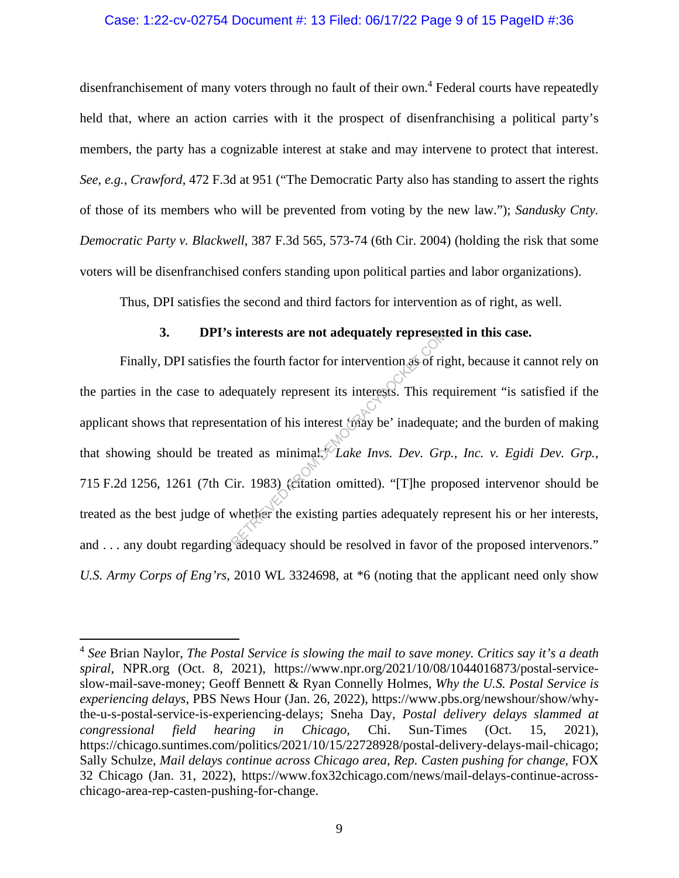#### Case: 1:22-cv-02754 Document #: 13 Filed: 06/17/22 Page 9 of 15 PageID #:36

disenfranchisement of many voters through no fault of their own.<sup>4</sup> Federal courts have repeatedly held that, where an action carries with it the prospect of disenfranchising a political party's members, the party has a cognizable interest at stake and may intervene to protect that interest. *See, e.g.*, *Crawford*, 472 F.3d at 951 ("The Democratic Party also has standing to assert the rights of those of its members who will be prevented from voting by the new law."); *Sandusky Cnty. Democratic Party v. Blackwell*, 387 F.3d 565, 573-74 (6th Cir. 2004) (holding the risk that some voters will be disenfranchised confers standing upon political parties and labor organizations).

Thus, DPI satisfies the second and third factors for intervention as of right, as well.

### **3. DPI's interests are not adequately represented in this case.**

Finally, DPI satisfies the fourth factor for intervention as of right, because it cannot rely on the parties in the case to adequately represent its interests. This requirement "is satisfied if the applicant shows that representation of his interest 'may be' inadequate; and the burden of making that showing should be treated as minimal.<sup>49</sup> *Lake Invs. Dev. Grp., Inc. v. Egidi Dev. Grp.*, 715 F.2d 1256, 1261 (7th Cir. 1983) (citation omitted). "[T]he proposed intervenor should be treated as the best judge of whether the existing parties adequately represent his or her interests, and . . . any doubt regarding adequacy should be resolved in favor of the proposed intervenors." *U.S. Army Corps of Eng'rs*, 2010 WL 3324698, at \*6 (noting that the applicant need only show Expresses are not adequately represent<br>the fourth factor for intervention as of rig<br>lequately represent its interests. This req<br>notation of his interest (may be' inadequately<br>ated as minimals. Lake Invs. Dev. Grap<br>Cir. 19

<sup>4</sup> *See* Brian Naylor, *The Postal Service is slowing the mail to save money. Critics say it's a death spiral*, NPR.org (Oct. 8, 2021), https://www.npr.org/2021/10/08/1044016873/postal-serviceslow-mail-save-money; Geoff Bennett & Ryan Connelly Holmes, *Why the U.S. Postal Service is experiencing delays*, PBS News Hour (Jan. 26, 2022), https://www.pbs.org/newshour/show/whythe-u-s-postal-service-is-experiencing-delays; Sneha Day, *Postal delivery delays slammed at congressional field hearing in Chicago*, Chi. Sun-Times (Oct. 15, 2021), https://chicago.suntimes.com/politics/2021/10/15/22728928/postal-delivery-delays-mail-chicago; Sally Schulze, *Mail delays continue across Chicago area, Rep. Casten pushing for change*, FOX 32 Chicago (Jan. 31, 2022), https://www.fox32chicago.com/news/mail-delays-continue-acrosschicago-area-rep-casten-pushing-for-change.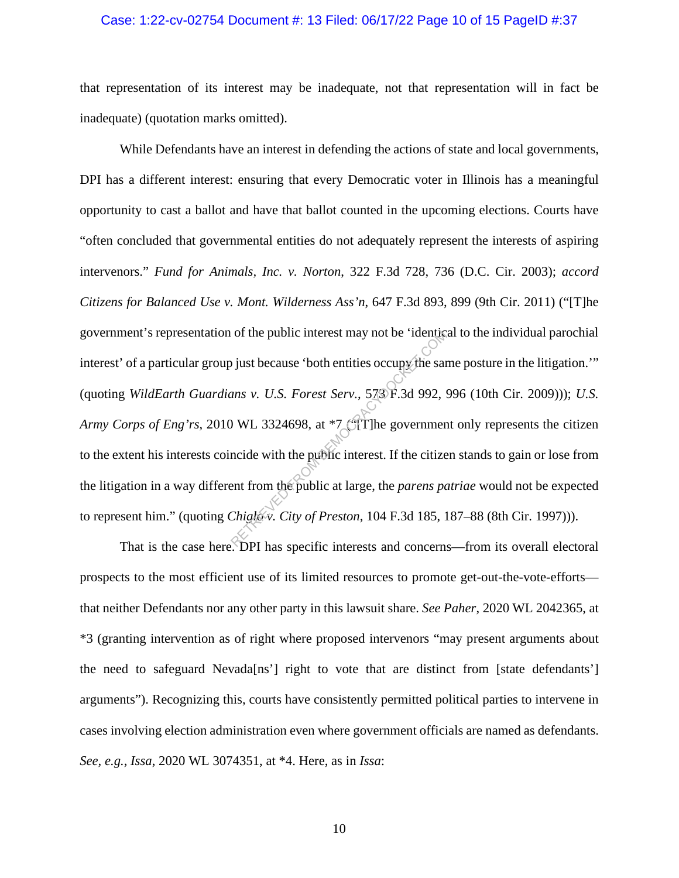#### Case: 1:22-cv-02754 Document #: 13 Filed: 06/17/22 Page 10 of 15 PageID #:37

that representation of its interest may be inadequate, not that representation will in fact be inadequate) (quotation marks omitted).

While Defendants have an interest in defending the actions of state and local governments, DPI has a different interest: ensuring that every Democratic voter in Illinois has a meaningful opportunity to cast a ballot and have that ballot counted in the upcoming elections. Courts have "often concluded that governmental entities do not adequately represent the interests of aspiring intervenors." *Fund for Animals, Inc. v. Norton*, 322 F.3d 728, 736 (D.C. Cir. 2003); *accord Citizens for Balanced Use v. Mont. Wilderness Ass'n*, 647 F.3d 893, 899 (9th Cir. 2011) ("[T]he government's representation of the public interest may not be 'identical to the individual parochial interest' of a particular group just because 'both entities occupy the same posture in the litigation.'" (quoting *WildEarth Guardians v. U.S. Forest Serv.*, 573 F.3d 992, 996 (10th Cir. 2009))); *U.S. Army Corps of Eng'rs*, 2010 WL 3324698, at \*7 ("[T]he government only represents the citizen to the extent his interests coincide with the public interest. If the citizen stands to gain or lose from the litigation in a way different from the public at large, the *parens patriae* would not be expected to represent him." (quoting *Chiglo v. City of Preston*, 104 F.3d 185, 187–88 (8th Cir. 1997))). The public interest may not be 'identically<br>
Digital because 'both entities occupy the same<br>
rans v. U.S. Forest Serv., 573 F.3d 992, 9<br>
WL 3324698, at \*7 CTT he government<br>
mode with the public interest. If the citize<br>
e

That is the case here. DPI has specific interests and concerns—from its overall electoral prospects to the most efficient use of its limited resources to promote get-out-the-vote-efforts that neither Defendants nor any other party in this lawsuit share. *See Paher*, 2020 WL 2042365, at \*3 (granting intervention as of right where proposed intervenors "may present arguments about the need to safeguard Nevada[ns'] right to vote that are distinct from [state defendants'] arguments"). Recognizing this, courts have consistently permitted political parties to intervene in cases involving election administration even where government officials are named as defendants. *See, e.g.*, *Issa*, 2020 WL 3074351, at \*4. Here, as in *Issa*: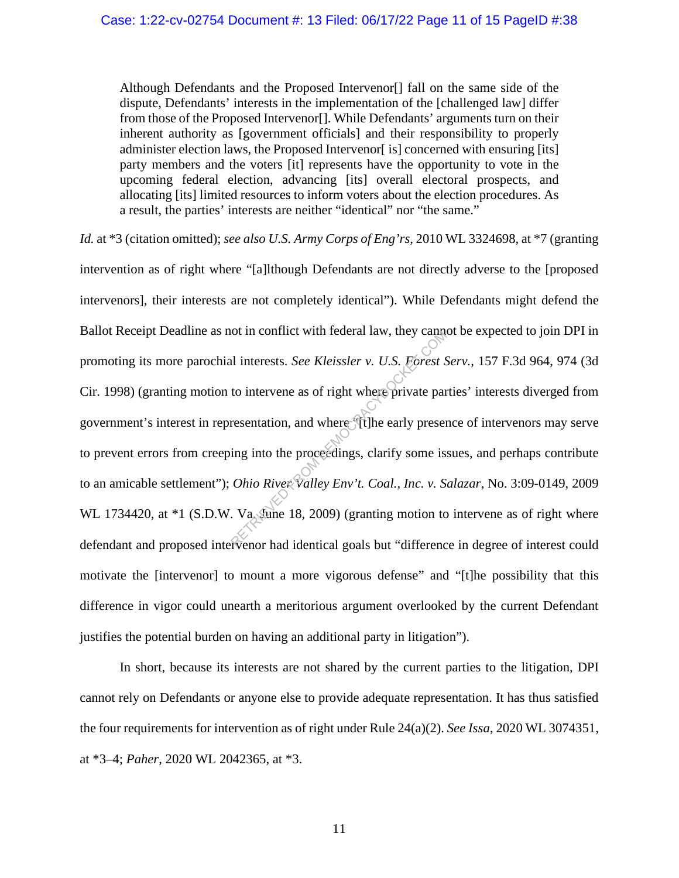Although Defendants and the Proposed Intervenor[] fall on the same side of the dispute, Defendants' interests in the implementation of the [challenged law] differ from those of the Proposed Intervenor[]. While Defendants' arguments turn on their inherent authority as [government officials] and their responsibility to properly administer election laws, the Proposed Intervenor [is] concerned with ensuring [its] party members and the voters [it] represents have the opportunity to vote in the upcoming federal election, advancing [its] overall electoral prospects, and allocating [its] limited resources to inform voters about the election procedures. As a result, the parties' interests are neither "identical" nor "the same."

*Id.* at \*3 (citation omitted); *see also U.S. Army Corps of Eng'rs*, 2010 WL 3324698, at \*7 (granting intervention as of right where "[a]lthough Defendants are not directly adverse to the [proposed intervenors], their interests are not completely identical"). While Defendants might defend the Ballot Receipt Deadline as not in conflict with federal law, they cannot be expected to join DPI in promoting its more parochial interests. *See Kleissler v. U.S. Forest Serv.*, 157 F.3d 964, 974 (3d Cir. 1998) (granting motion to intervene as of right where private parties' interests diverged from government's interest in representation, and where "[t]he early presence of intervenors may serve to prevent errors from creeping into the proceedings, clarify some issues, and perhaps contribute to an amicable settlement"); *Ohio River Valley Env't. Coal., Inc. v. Salazar*, No. 3:09-0149, 2009 WL 1734420, at  $*1$  (S.D.W. Va. June 18, 2009) (granting motion to intervene as of right where defendant and proposed intervenor had identical goals but "difference in degree of interest could motivate the [intervenor] to mount a more vigorous defense" and "[t]he possibility that this difference in vigor could unearth a meritorious argument overlooked by the current Defendant justifies the potential burden on having an additional party in litigation"). of in conflict with lederal law, they can<br>all interests. *See Kleissler v. U.S. Forest S*<br>to intervene as of right where private par<br>resentation, and where Tilhe early preser<br>resentation, and where Tilhe early preser<br>ing i

In short, because its interests are not shared by the current parties to the litigation, DPI cannot rely on Defendants or anyone else to provide adequate representation. It has thus satisfied the four requirements for intervention as of right under Rule 24(a)(2). *See Issa*, 2020 WL 3074351, at \*3–4; *Paher*, 2020 WL 2042365, at \*3.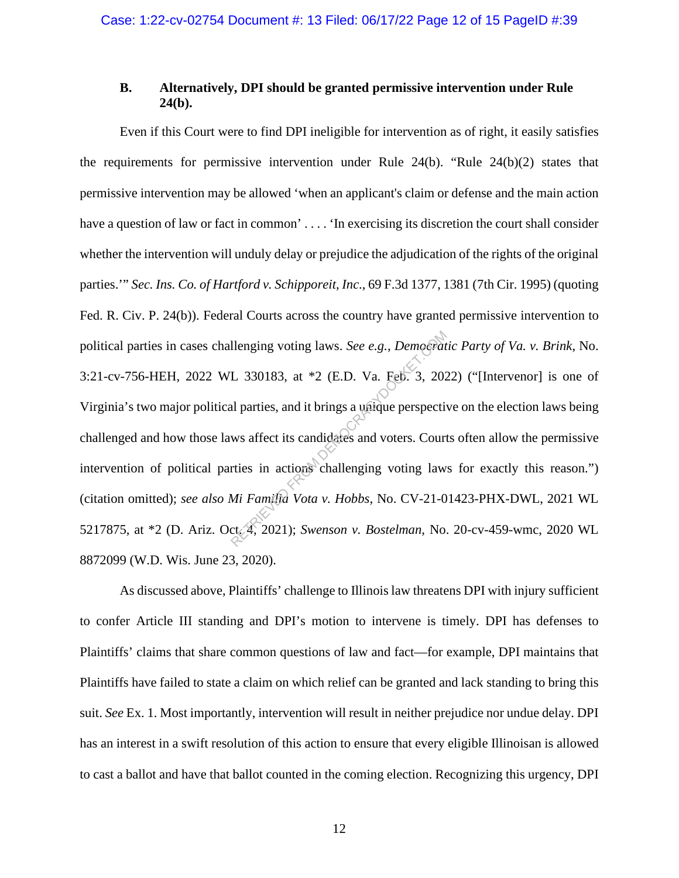## **B. Alternatively, DPI should be granted permissive intervention under Rule 24(b).**

Even if this Court were to find DPI ineligible for intervention as of right, it easily satisfies the requirements for permissive intervention under Rule 24(b). "Rule 24(b)(2) states that permissive intervention may be allowed 'when an applicant's claim or defense and the main action have a question of law or fact in common' .... 'In exercising its discretion the court shall consider whether the intervention will unduly delay or prejudice the adjudication of the rights of the original parties.'" *Sec. Ins. Co. of Hartford v. Schipporeit, Inc*., 69 F.3d 1377, 1381 (7th Cir. 1995) (quoting Fed. R. Civ. P. 24(b)). Federal Courts across the country have granted permissive intervention to political parties in cases challenging voting laws. *See e.g.*, *Democratic Party of Va. v. Brink*, No. 3:21-cv-756-HEH, 2022 WL 330183, at \*2 (E.D. Va. Feb. 3, 2022) ("[Intervenor] is one of Virginia's two major political parties, and it brings a unique perspective on the election laws being challenged and how those laws affect its candidates and voters. Courts often allow the permissive intervention of political parties in actions challenging voting laws for exactly this reason.") (citation omitted); *see also Mi Familia Vota v. Hobbs*, No. CV-21-01423-PHX-DWL, 2021 WL 5217875, at \*2 (D. Ariz. Oct. 4, 2021); *Swenson v. Bostelman*, No. 20-cv-459-wmc, 2020 WL 8872099 (W.D. Wis. June 23, 2020). Ilenging voting laws. See e.g., Democrat<br>L 330183, at \*2 (E.D. Va. Feb. 3, 202<br>al parties, and it brings a unique perspective<br>ws affect its candidates and voters. Court<br>rties in actions challenging voting law<br>Mi Familia Vo

As discussed above, Plaintiffs' challenge to Illinois law threatens DPI with injury sufficient to confer Article III standing and DPI's motion to intervene is timely. DPI has defenses to Plaintiffs' claims that share common questions of law and fact—for example, DPI maintains that Plaintiffs have failed to state a claim on which relief can be granted and lack standing to bring this suit. *See* Ex. 1. Most importantly, intervention will result in neither prejudice nor undue delay. DPI has an interest in a swift resolution of this action to ensure that every eligible Illinoisan is allowed to cast a ballot and have that ballot counted in the coming election. Recognizing this urgency, DPI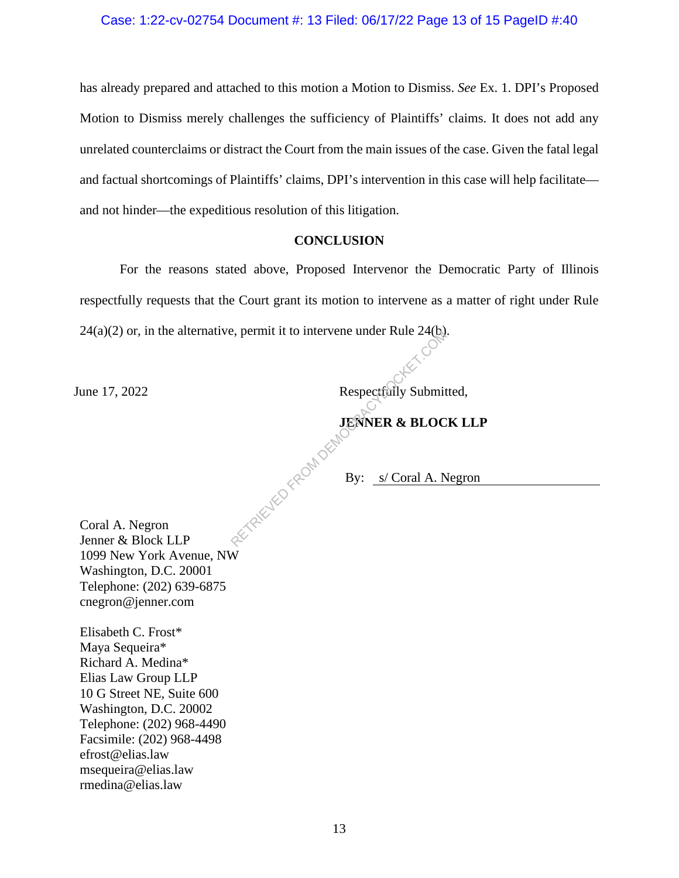has already prepared and attached to this motion a Motion to Dismiss. *See* Ex. 1. DPI's Proposed Motion to Dismiss merely challenges the sufficiency of Plaintiffs' claims. It does not add any unrelated counterclaims or distract the Court from the main issues of the case. Given the fatal legal and factual shortcomings of Plaintiffs' claims, DPI's intervention in this case will help facilitate and not hinder—the expeditious resolution of this litigation.

#### **CONCLUSION**

For the reasons stated above, Proposed Intervenor the Democratic Party of Illinois respectfully requests that the Court grant its motion to intervene as a matter of right under Rule  $24(a)(2)$  or, in the alternative, permit it to intervene under Rule  $24(b)$ .

June 17, 2022 Respectfully Submitted,

# **JENNER & BLOCK LLP**

By: s/ Coral A. Negron

Coral A. Negron Jenner & Block LLP 1099 New York Avenue, NW Washington, D.C. 20001 Telephone: (202) 639-6875 cnegron@jenner.com KETRIEVED FROM DEMO

Elisabeth C. Frost\* Maya Sequeira\* Richard A. Medina\* Elias Law Group LLP 10 G Street NE, Suite 600 Washington, D.C. 20002 Telephone: (202) 968-4490 Facsimile: (202) 968-4498 efrost@elias.law msequeira@elias.law rmedina@elias.law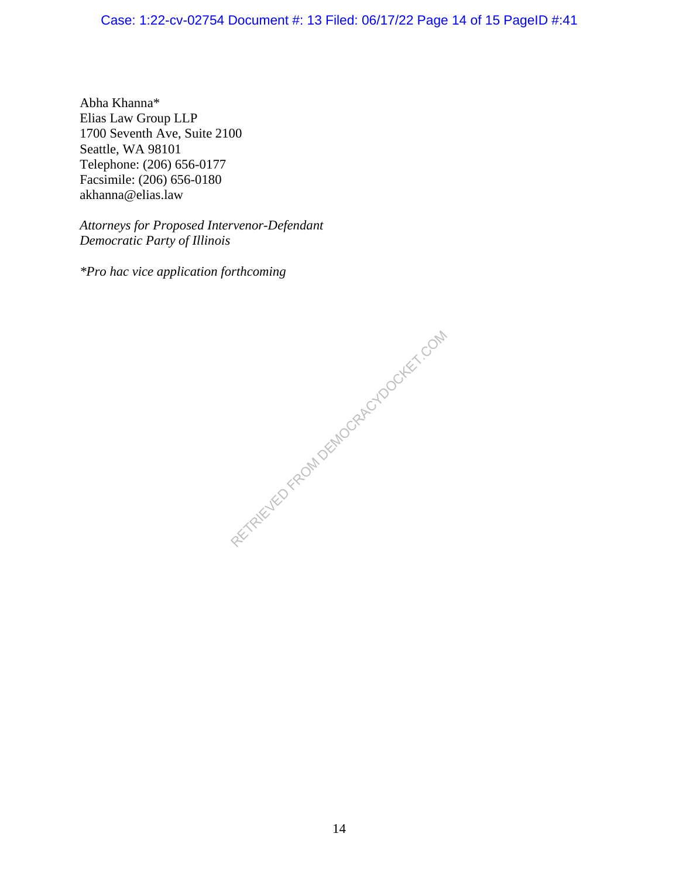# Case: 1:22-cv-02754 Document #: 13 Filed: 06/17/22 Page 14 of 15 PageID #:41

Abha Khanna\* Elias Law Group LLP 1700 Seventh Ave, Suite 2100 Seattle, WA 98101 Telephone: (206) 656-0177 Facsimile: (206) 656-0180 akhanna@elias.law

*Attorneys for Proposed Intervenor-Defendant Democratic Party of Illinois* 

*\*Pro hac vice application forthcoming*

RECTAIRD FROM DEMOCRACY DOCKET.COM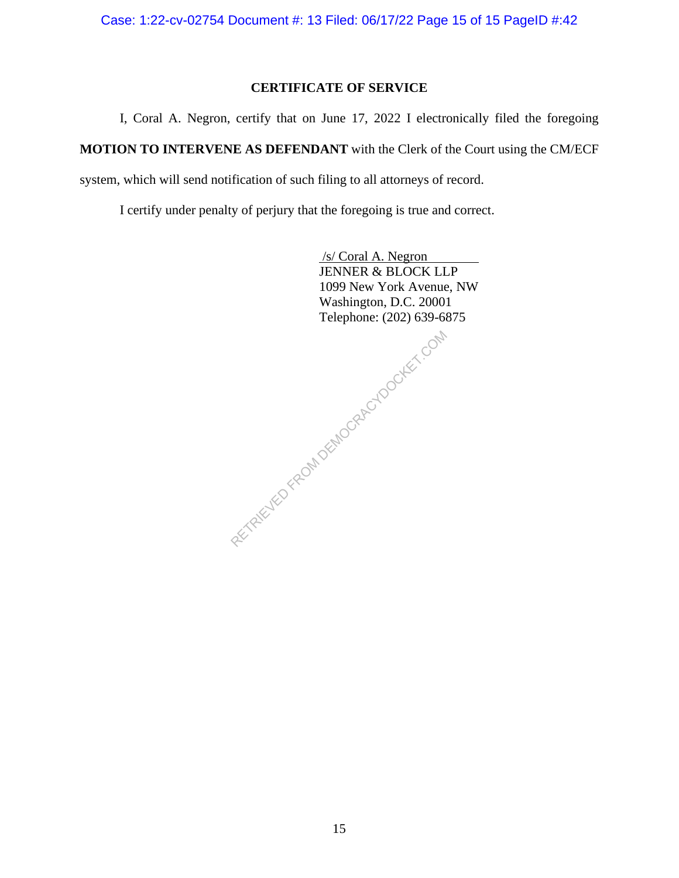# **CERTIFICATE OF SERVICE**

I, Coral A. Negron, certify that on June 17, 2022 I electronically filed the foregoing

**MOTION TO INTERVENE AS DEFENDANT** with the Clerk of the Court using the CM/ECF

system, which will send notification of such filing to all attorneys of record.

I certify under penalty of perjury that the foregoing is true and correct.

 /s/ Coral A. Negron JENNER & BLOCK LLP 1099 New York Avenue, NW Washington, D.C. 20001 Telephone: (202) 639-6875

RETRIEVED FROM DEMOCRACYDOCKET.COM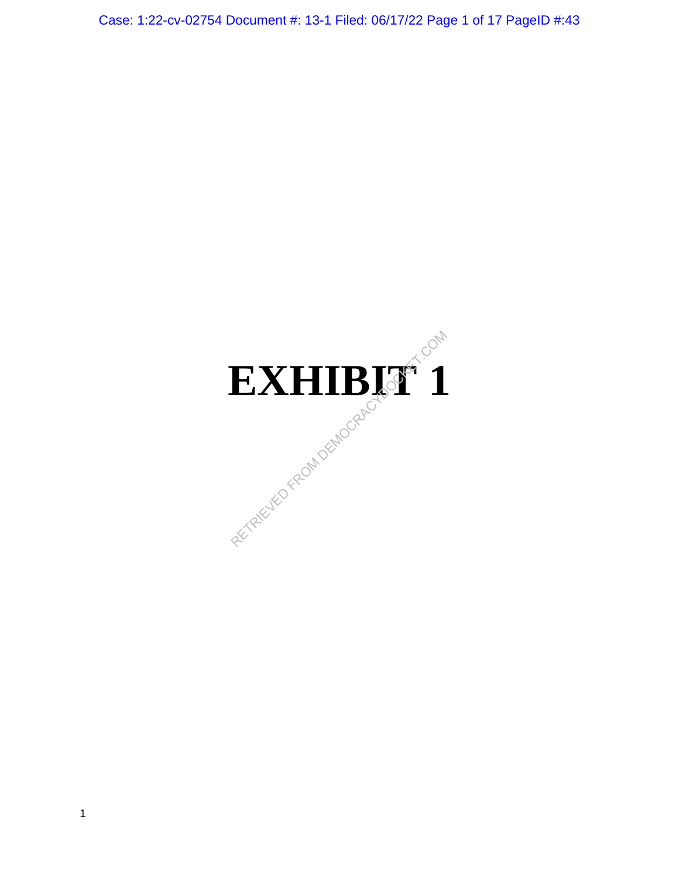Case: 1:22-cv-02754 Document #: 13-1 Filed: 06/17/22 Page 1 of 17 PageID #:43

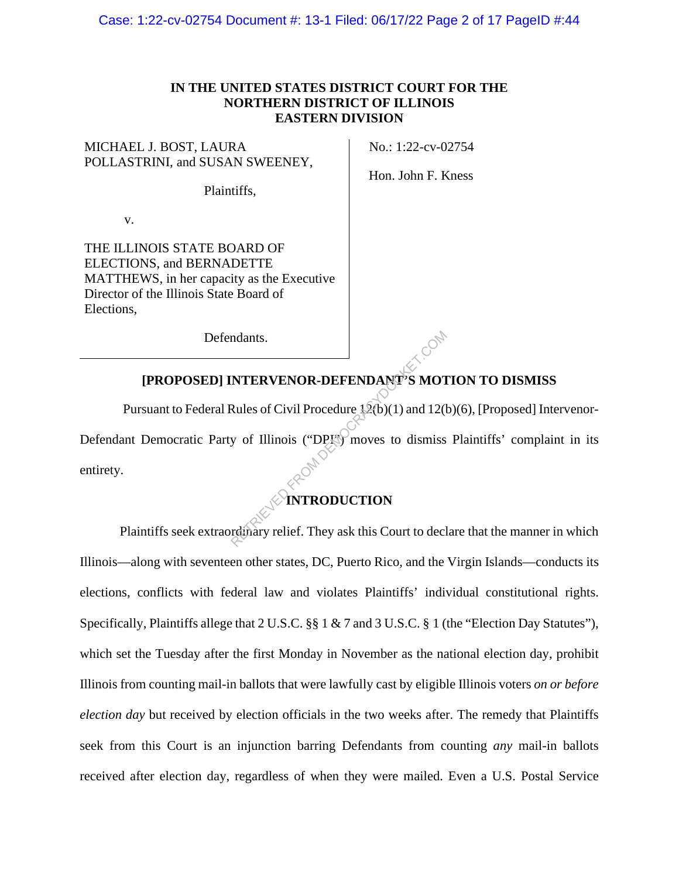## **IN THE UNITED STATES DISTRICT COURT FOR THE NORTHERN DISTRICT OF ILLINOIS EASTERN DIVISION**

MICHAEL J. BOST, LAURA POLLASTRINI, and SUSAN SWEENEY,

Plaintiffs,

v.

THE ILLINOIS STATE BOARD OF ELECTIONS, and BERNADETTE MATTHEWS, in her capacity as the Executive Director of the Illinois State Board of Elections,

Defendants.

No.: 1:22-cv-02754

Hon. John F. Kness

# **[PROPOSED] INTERVENOR-DEFENDANT'S MOTION TO DISMISS**

 Pursuant to Federal Rules of Civil Procedure 12(b)(1) and 12(b)(6), [Proposed] Intervenor-Defendant Democratic Party of Illinois ("DPI") moves to dismiss Plaintiffs' complaint in its entirety. Matter Same Company of The Same Company of The Same Company of The Same Company of The Same Company of The Same Company relief. They ask this Court to declerent Company relief. They ask this Court to declerent Company reli

## **INTRODUCTION**

Plaintiffs seek extraordinary relief. They ask this Court to declare that the manner in which Illinois—along with seventeen other states, DC, Puerto Rico, and the Virgin Islands—conducts its elections, conflicts with federal law and violates Plaintiffs' individual constitutional rights. Specifically, Plaintiffs allege that 2 U.S.C. §§ 1 & 7 and 3 U.S.C. § 1 (the "Election Day Statutes"), which set the Tuesday after the first Monday in November as the national election day, prohibit Illinois from counting mail-in ballots that were lawfully cast by eligible Illinois voters *on or before election day* but received by election officials in the two weeks after. The remedy that Plaintiffs seek from this Court is an injunction barring Defendants from counting *any* mail-in ballots received after election day, regardless of when they were mailed. Even a U.S. Postal Service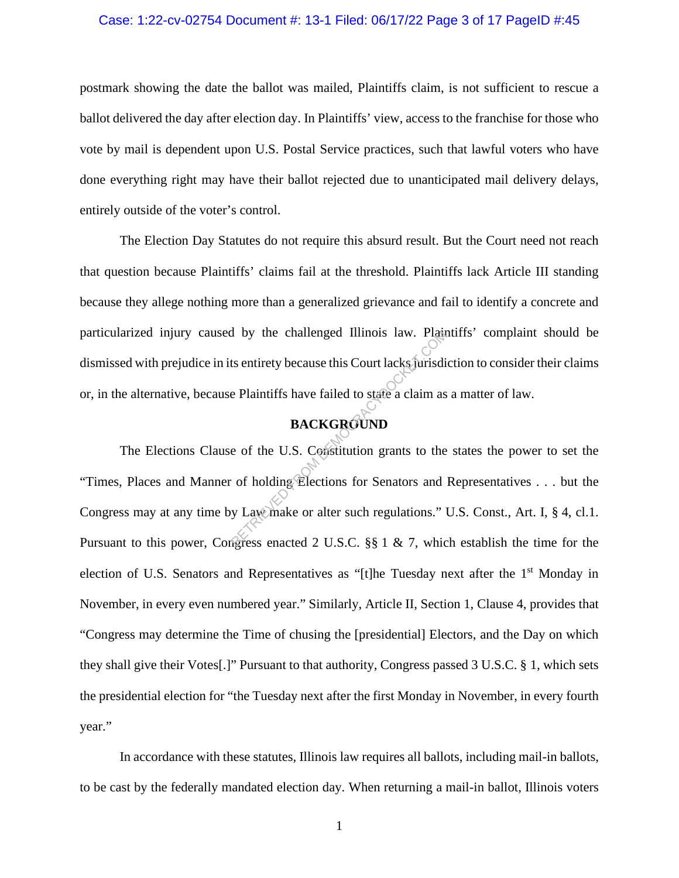#### Case: 1:22-cv-02754 Document #: 13-1 Filed: 06/17/22 Page 3 of 17 PageID #:45

postmark showing the date the ballot was mailed, Plaintiffs claim, is not sufficient to rescue a ballot delivered the day after election day. In Plaintiffs' view, access to the franchise for those who vote by mail is dependent upon U.S. Postal Service practices, such that lawful voters who have done everything right may have their ballot rejected due to unanticipated mail delivery delays, entirely outside of the voter's control.

The Election Day Statutes do not require this absurd result. But the Court need not reach that question because Plaintiffs' claims fail at the threshold. Plaintiffs lack Article III standing because they allege nothing more than a generalized grievance and fail to identify a concrete and particularized injury caused by the challenged Illinois law. Plaintiffs' complaint should be dismissed with prejudice in its entirety because this Court lacks jurisdiction to consider their claims or, in the alternative, because Plaintiffs have failed to state a claim as a matter of law.

## **BACKGROUND**

The Elections Clause of the U.S. Constitution grants to the states the power to set the "Times, Places and Manner of holding Elections for Senators and Representatives . . . but the Congress may at any time by Law make or alter such regulations." U.S. Const., Art. I, § 4, cl.1. Pursuant to this power, Congress enacted 2 U.S.C. §§ 1 & 7, which establish the time for the election of U.S. Senators and Representatives as "[t]he Tuesday next after the 1<sup>st</sup> Monday in November, in every even numbered year." Similarly, Article II, Section 1, Clause 4, provides that "Congress may determine the Time of chusing the [presidential] Electors, and the Day on which they shall give their Votes[.]" Pursuant to that authority, Congress passed 3 U.S.C. § 1, which sets the presidential election for "the Tuesday next after the first Monday in November, in every fourth year." Example 11 Internal Control and Sections 1888.<br>
RETRIEVED FROM DEMOCRACY CONTROLLED BACKGROUND<br>
EQUATERRIEVED.COM BACKGROUND<br>
EQUATERRIEVED.COM SECTION STATES AND VERTICAL SUBSTITUTE OF NORMAL CONSTRANCY CONSULATIONS."

In accordance with these statutes, Illinois law requires all ballots, including mail-in ballots, to be cast by the federally mandated election day. When returning a mail-in ballot, Illinois voters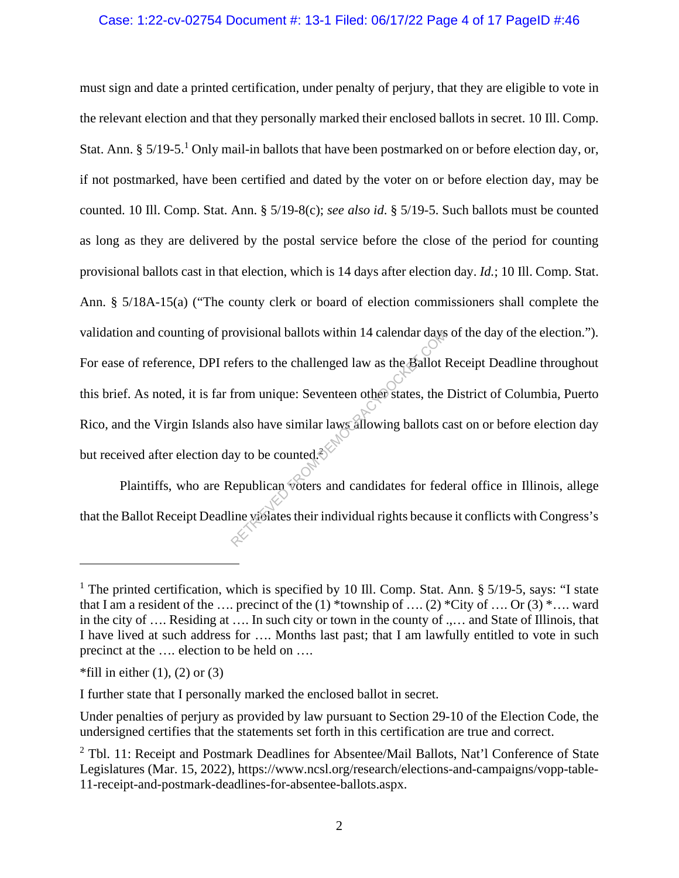## Case: 1:22-cv-02754 Document #: 13-1 Filed: 06/17/22 Page 4 of 17 PageID #:46

must sign and date a printed certification, under penalty of perjury, that they are eligible to vote in the relevant election and that they personally marked their enclosed ballots in secret. 10 Ill. Comp. Stat. Ann. § 5/19-5.<sup>1</sup> Only mail-in ballots that have been postmarked on or before election day, or, if not postmarked, have been certified and dated by the voter on or before election day, may be counted. 10 Ill. Comp. Stat. Ann. § 5/19-8(c); *see also id*. § 5/19-5. Such ballots must be counted as long as they are delivered by the postal service before the close of the period for counting provisional ballots cast in that election, which is 14 days after election day. *Id.*; 10 Ill. Comp. Stat. Ann. § 5/18A-15(a) ("The county clerk or board of election commissioners shall complete the validation and counting of provisional ballots within 14 calendar days of the day of the election."). For ease of reference, DPI refers to the challenged law as the Ballot Receipt Deadline throughout this brief. As noted, it is far from unique: Seventeen other states, the District of Columbia, Puerto Rico, and the Virgin Islands also have similar laws allowing ballots cast on or before election day but received after election day to be counted. $\hat{\xi}$ rovisional ballots within 14 calendar days<br>efers to the challenged law as the Ballot l<br>from unique: Seventeen other states, the<br>also have similar laws allowing ballots c<br>ay to be counted.<br>Republican voters and candidates f

Plaintiffs, who are Republican voters and candidates for federal office in Illinois, allege that the Ballot Receipt Deadline violates their individual rights because it conflicts with Congress's

<sup>&</sup>lt;sup>1</sup> The printed certification, which is specified by 10 Ill. Comp. Stat. Ann. § 5/19-5, says: "I state that I am a resident of the …. precinct of the  $(1)$  \*township of ….  $(2)$  \*City of …. Or  $(3)$  \*…. ward in the city of …. Residing at …. In such city or town in the county of .,… and State of Illinois, that I have lived at such address for …. Months last past; that I am lawfully entitled to vote in such precinct at the …. election to be held on ….

 $*$ fill in either (1), (2) or (3)

I further state that I personally marked the enclosed ballot in secret.

Under penalties of perjury as provided by law pursuant to Section 29-10 of the Election Code, the undersigned certifies that the statements set forth in this certification are true and correct.

<sup>&</sup>lt;sup>2</sup> Tbl. 11: Receipt and Postmark Deadlines for Absentee/Mail Ballots, Nat'l Conference of State Legislatures (Mar. 15, 2022), https://www.ncsl.org/research/elections-and-campaigns/vopp-table-11-receipt-and-postmark-deadlines-for-absentee-ballots.aspx.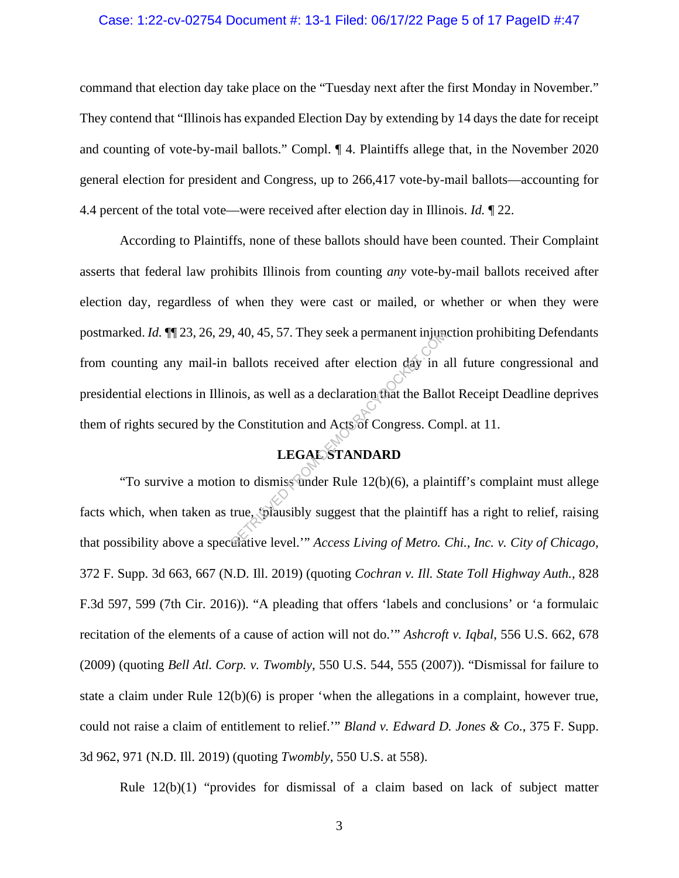#### Case: 1:22-cv-02754 Document #: 13-1 Filed: 06/17/22 Page 5 of 17 PageID #:47

command that election day take place on the "Tuesday next after the first Monday in November." They contend that "Illinois has expanded Election Day by extending by 14 days the date for receipt and counting of vote-by-mail ballots." Compl. ¶ 4. Plaintiffs allege that, in the November 2020 general election for president and Congress, up to 266,417 vote-by-mail ballots—accounting for 4.4 percent of the total vote—were received after election day in Illinois. *Id.* ¶ 22.

According to Plaintiffs, none of these ballots should have been counted. Their Complaint asserts that federal law prohibits Illinois from counting *any* vote-by-mail ballots received after election day, regardless of when they were cast or mailed, or whether or when they were postmarked. *Id.* ¶¶ 23, 26, 29, 40, 45, 57. They seek a permanent injunction prohibiting Defendants from counting any mail-in ballots received after election day in all future congressional and presidential elections in Illinois, as well as a declaration that the Ballot Receipt Deadline deprives them of rights secured by the Constitution and Acts of Congress. Compl. at 11.  $(40, 45, 57)$ . They seek a permanent injum<br>ballots received after election day in a<br>iois, as well as a declaration that the Ballo<br>e Constitution and Acts of Congress. Cor<br>**LEGALSTANDARD**<br>in to dismiss under Rule 12(b)(6)

# **LEGAL STANDARD**

"To survive a motion to dismiss under Rule 12(b)(6), a plaintiff's complaint must allege facts which, when taken as true, 'plausibly suggest that the plaintiff has a right to relief, raising that possibility above a speculative level.'" *Access Living of Metro. Chi., Inc. v. City of Chicago*, 372 F. Supp. 3d 663, 667 (N.D. Ill. 2019) (quoting *Cochran v. Ill. State Toll Highway Auth.*, 828 F.3d 597, 599 (7th Cir. 2016)). "A pleading that offers 'labels and conclusions' or 'a formulaic recitation of the elements of a cause of action will not do.'" *Ashcroft v. Iqbal*, 556 U.S. 662, 678 (2009) (quoting *Bell Atl. Corp. v. Twombly*, 550 U.S. 544, 555 (2007)). "Dismissal for failure to state a claim under Rule 12(b)(6) is proper 'when the allegations in a complaint, however true, could not raise a claim of entitlement to relief.'" *Bland v. Edward D. Jones & Co.*, 375 F. Supp. 3d 962, 971 (N.D. Ill. 2019) (quoting *Twombly*, 550 U.S. at 558).

Rule 12(b)(1) "provides for dismissal of a claim based on lack of subject matter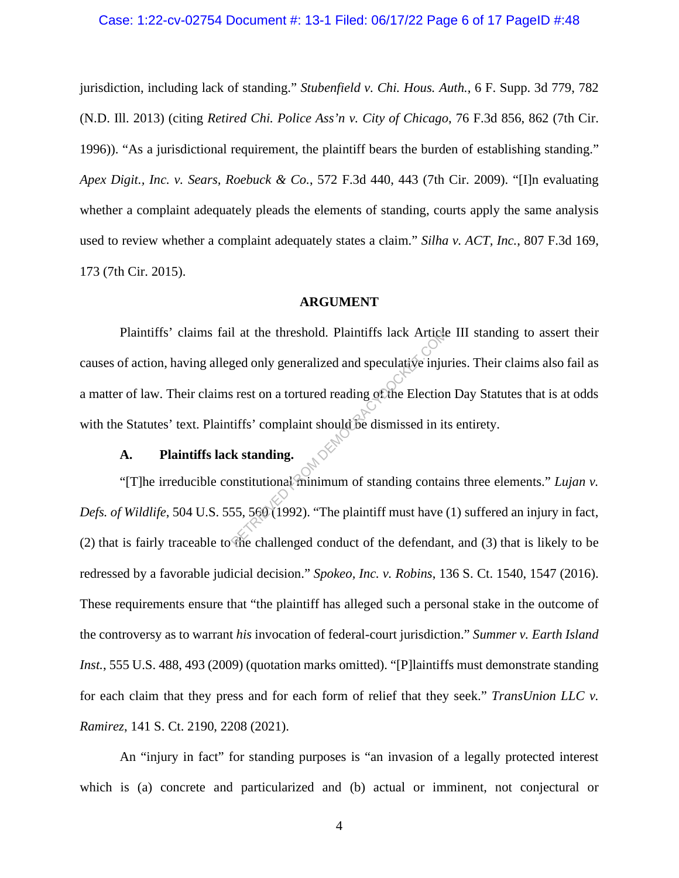#### Case: 1:22-cv-02754 Document #: 13-1 Filed: 06/17/22 Page 6 of 17 PageID #:48

jurisdiction, including lack of standing." *Stubenfield v. Chi. Hous. Auth.*, 6 F. Supp. 3d 779, 782 (N.D. Ill. 2013) (citing *Retired Chi. Police Ass'n v. City of Chicago*, 76 F.3d 856, 862 (7th Cir. 1996)). "As a jurisdictional requirement, the plaintiff bears the burden of establishing standing." *Apex Digit., Inc. v. Sears, Roebuck & Co.*, 572 F.3d 440, 443 (7th Cir. 2009). "[I]n evaluating whether a complaint adequately pleads the elements of standing, courts apply the same analysis used to review whether a complaint adequately states a claim." *Silha v. ACT, Inc.*, 807 F.3d 169, 173 (7th Cir. 2015).

#### **ARGUMENT**

Plaintiffs' claims fail at the threshold. Plaintiffs lack Article III standing to assert their causes of action, having alleged only generalized and speculative injuries. Their claims also fail as a matter of law. Their claims rest on a tortured reading of the Election Day Statutes that is at odds with the Statutes' text. Plaintiffs' complaint should be dismissed in its entirety. I at the threshold. Plaintiffs lack Article<br>ged only generalized and speculative inju<br>s rest on a tortured reading of the Election<br>tiffs' complaint should be dismissed in it<br>k standing.<br>monstitutional minimum of standing c

#### **A. Plaintiffs lack standing.**

"[T]he irreducible constitutional minimum of standing contains three elements." *Lujan v. Defs. of Wildlife*, 504 U.S. 555, 560 (1992). "The plaintiff must have (1) suffered an injury in fact, (2) that is fairly traceable to the challenged conduct of the defendant, and (3) that is likely to be redressed by a favorable judicial decision." *Spokeo, Inc. v. Robins*, 136 S. Ct. 1540, 1547 (2016). These requirements ensure that "the plaintiff has alleged such a personal stake in the outcome of the controversy as to warrant *his* invocation of federal-court jurisdiction." *Summer v. Earth Island Inst.*, 555 U.S. 488, 493 (2009) (quotation marks omitted). "[P]laintiffs must demonstrate standing for each claim that they press and for each form of relief that they seek." *TransUnion LLC v. Ramirez*, 141 S. Ct. 2190, 2208 (2021).

An "injury in fact" for standing purposes is "an invasion of a legally protected interest which is (a) concrete and particularized and (b) actual or imminent, not conjectural or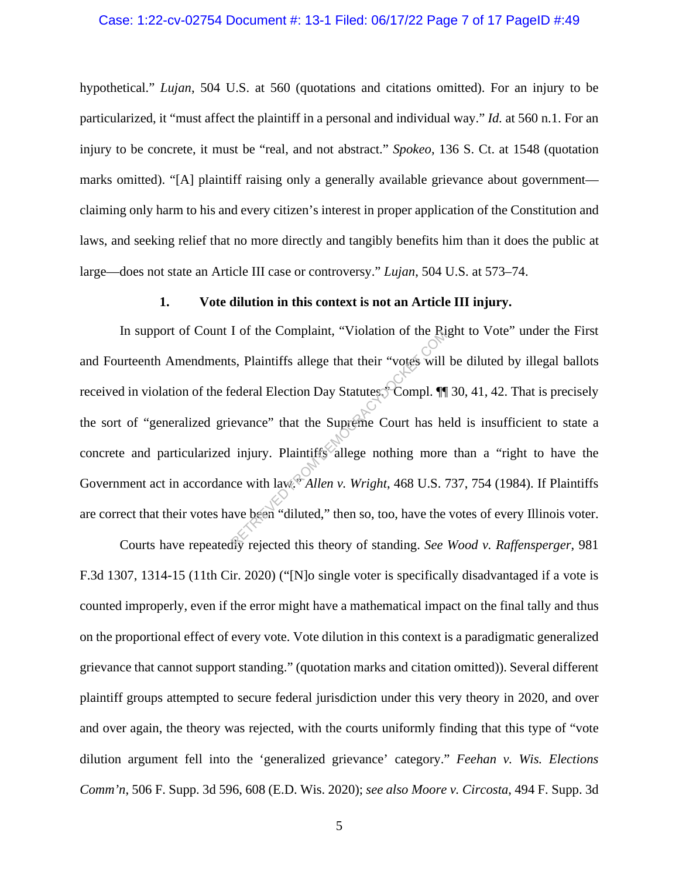#### Case: 1:22-cv-02754 Document #: 13-1 Filed: 06/17/22 Page 7 of 17 PageID #:49

hypothetical." *Lujan*, 504 U.S. at 560 (quotations and citations omitted). For an injury to be particularized, it "must affect the plaintiff in a personal and individual way." *Id.* at 560 n.1. For an injury to be concrete, it must be "real, and not abstract." *Spokeo*, 136 S. Ct. at 1548 (quotation marks omitted). "[A] plaintiff raising only a generally available grievance about government claiming only harm to his and every citizen's interest in proper application of the Constitution and laws, and seeking relief that no more directly and tangibly benefits him than it does the public at large—does not state an Article III case or controversy." *Lujan*, 504 U.S. at 573–74.

#### **1. Vote dilution in this context is not an Article III injury.**

In support of Count I of the Complaint, "Violation of the Right to Vote" under the First and Fourteenth Amendments, Plaintiffs allege that their "votes will be diluted by illegal ballots received in violation of the federal Election Day Statutes. Compl. ¶ 30, 41, 42. That is precisely the sort of "generalized grievance" that the Supreme Court has held is insufficient to state a concrete and particularized injury. Plaintiffs allege nothing more than a "right to have the Government act in accordance with law." *Allen v. Wright*, 468 U.S. 737, 754 (1984). If Plaintiffs are correct that their votes have been "diluted," then so, too, have the votes of every Illinois voter. Retaining that their "votes will<br>ederal Election Day Statutes" Compl. 11<br>evance" that the Supreme Court has he<br>injury. Plaintiffs allege nothing more<br>ce with law. Allen v. Wright, 468 U.S.

Courts have repeatedly rejected this theory of standing. *See Wood v. Raffensperger*, 981 F.3d 1307, 1314-15 (11th Cir. 2020) ("[N]o single voter is specifically disadvantaged if a vote is counted improperly, even if the error might have a mathematical impact on the final tally and thus on the proportional effect of every vote. Vote dilution in this context is a paradigmatic generalized grievance that cannot support standing." (quotation marks and citation omitted)). Several different plaintiff groups attempted to secure federal jurisdiction under this very theory in 2020, and over and over again, the theory was rejected, with the courts uniformly finding that this type of "vote dilution argument fell into the 'generalized grievance' category." *Feehan v. Wis. Elections Comm'n*, 506 F. Supp. 3d 596, 608 (E.D. Wis. 2020); *see also Moore v. Circosta*, 494 F. Supp. 3d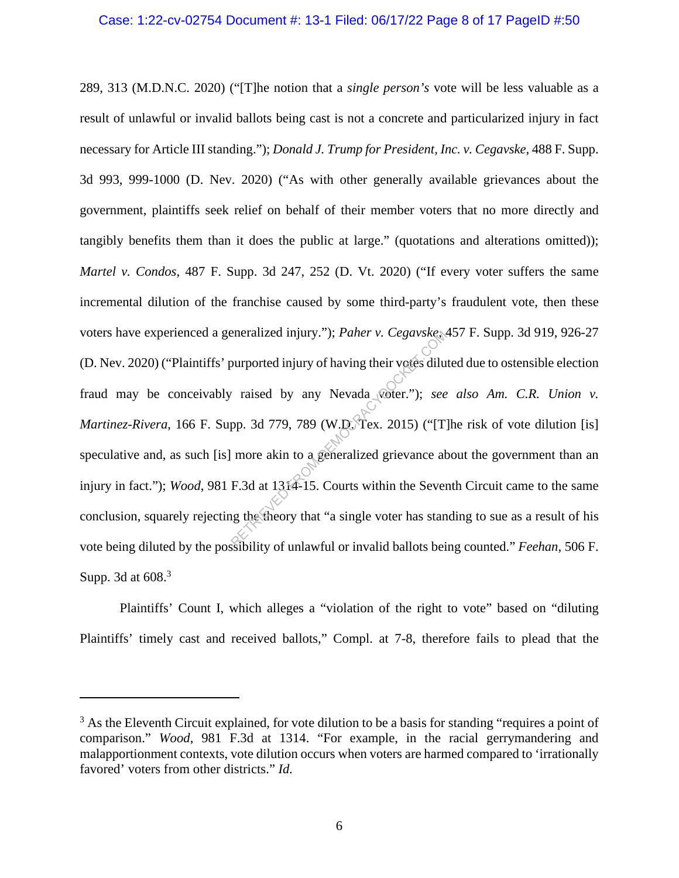289, 313 (M.D.N.C. 2020) ("[T]he notion that a *single person's* vote will be less valuable as a result of unlawful or invalid ballots being cast is not a concrete and particularized injury in fact necessary for Article III standing."); *Donald J. Trump for President, Inc. v. Cegavske*, 488 F. Supp. 3d 993, 999-1000 (D. Nev. 2020) ("As with other generally available grievances about the government, plaintiffs seek relief on behalf of their member voters that no more directly and tangibly benefits them than it does the public at large." (quotations and alterations omitted)); *Martel v. Condos*, 487 F. Supp. 3d 247, 252 (D. Vt. 2020) ("If every voter suffers the same incremental dilution of the franchise caused by some third-party's fraudulent vote, then these voters have experienced a generalized injury."); *Paher v. Cegavske*, 457 F. Supp. 3d 919, 926-27 (D. Nev. 2020) ("Plaintiffs' purported injury of having their votes diluted due to ostensible election fraud may be conceivably raised by any Nevada voter."); *see also Am. C.R. Union v. Martinez-Rivera*, 166 F. Supp. 3d 779, 789 (W.D. Tex. 2015) ("[T]he risk of vote dilution [is] speculative and, as such [is] more akin to a generalized grievance about the government than an injury in fact."); *Wood*, 981 F.3d at 1314-15. Courts within the Seventh Circuit came to the same conclusion, squarely rejecting the theory that "a single voter has standing to sue as a result of his vote being diluted by the possibility of unlawful or invalid ballots being counted." *Feehan*, 506 F. Supp. 3d at  $608.<sup>3</sup>$ eneralized injury."); Paher v. Cegavskess<br>
purported injury of having their votes dilu<br>
raised by any Nevada Woter."); see<br>
pp. 3d 779, 789 (W.D. Tex. 2015) ("[T]<br>
more akin to a generalized grievance at<br>
F.3d at 1314-15.

Plaintiffs' Count I, which alleges a "violation of the right to vote" based on "diluting Plaintiffs' timely cast and received ballots," Compl. at 7-8, therefore fails to plead that the

<sup>&</sup>lt;sup>3</sup> As the Eleventh Circuit explained, for vote dilution to be a basis for standing "requires a point of comparison." *Wood*, 981 F.3d at 1314. "For example, in the racial gerrymandering and malapportionment contexts, vote dilution occurs when voters are harmed compared to 'irrationally favored' voters from other districts." *Id.*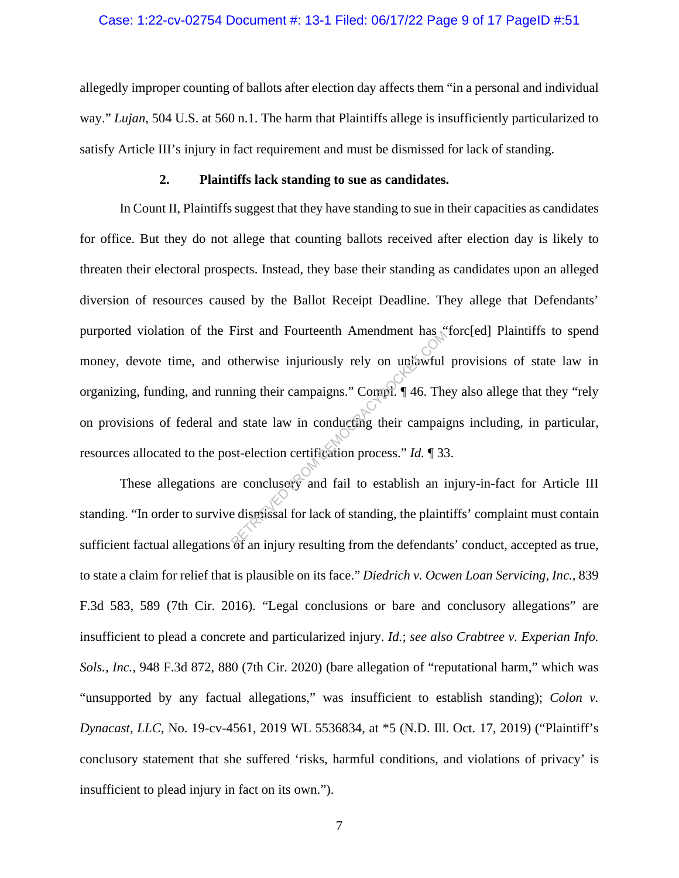#### Case: 1:22-cv-02754 Document #: 13-1 Filed: 06/17/22 Page 9 of 17 PageID #:51

allegedly improper counting of ballots after election day affects them "in a personal and individual way." *Lujan*, 504 U.S. at 560 n.1. The harm that Plaintiffs allege is insufficiently particularized to satisfy Article III's injury in fact requirement and must be dismissed for lack of standing.

#### **2. Plaintiffs lack standing to sue as candidates.**

In Count II, Plaintiffs suggest that they have standing to sue in their capacities as candidates for office. But they do not allege that counting ballots received after election day is likely to threaten their electoral prospects. Instead, they base their standing as candidates upon an alleged diversion of resources caused by the Ballot Receipt Deadline. They allege that Defendants' purported violation of the First and Fourteenth Amendment has "forc[ed] Plaintiffs to spend money, devote time, and otherwise injuriously rely on unlawful provisions of state law in organizing, funding, and running their campaigns." Compl. ¶ 46. They also allege that they "rely on provisions of federal and state law in conducting their campaigns including, in particular, resources allocated to the post-election certification process." *Id.* ¶ 33. Experimental and Fourteenth Amendment has<br>otherwise injuriously rely on unlawful<br>aning their campaigns." Compl.  $\P$  46. The<br>d state law in conducting their campaignst-election certification process." Id.  $\P$  33<br>e concluse

These allegations are conclusory and fail to establish an injury-in-fact for Article III standing. "In order to survive dismissal for lack of standing, the plaintiffs' complaint must contain sufficient factual allegations of an injury resulting from the defendants' conduct, accepted as true, to state a claim for relief that is plausible on its face." *Diedrich v. Ocwen Loan Servicing, Inc.*, 839 F.3d 583, 589 (7th Cir. 2016). "Legal conclusions or bare and conclusory allegations" are insufficient to plead a concrete and particularized injury. *Id.*; *see also Crabtree v. Experian Info. Sols., Inc.*, 948 F.3d 872, 880 (7th Cir. 2020) (bare allegation of "reputational harm," which was "unsupported by any factual allegations," was insufficient to establish standing); *Colon v. Dynacast, LLC*, No. 19-cv-4561, 2019 WL 5536834, at \*5 (N.D. Ill. Oct. 17, 2019) ("Plaintiff's conclusory statement that she suffered 'risks, harmful conditions, and violations of privacy' is insufficient to plead injury in fact on its own.").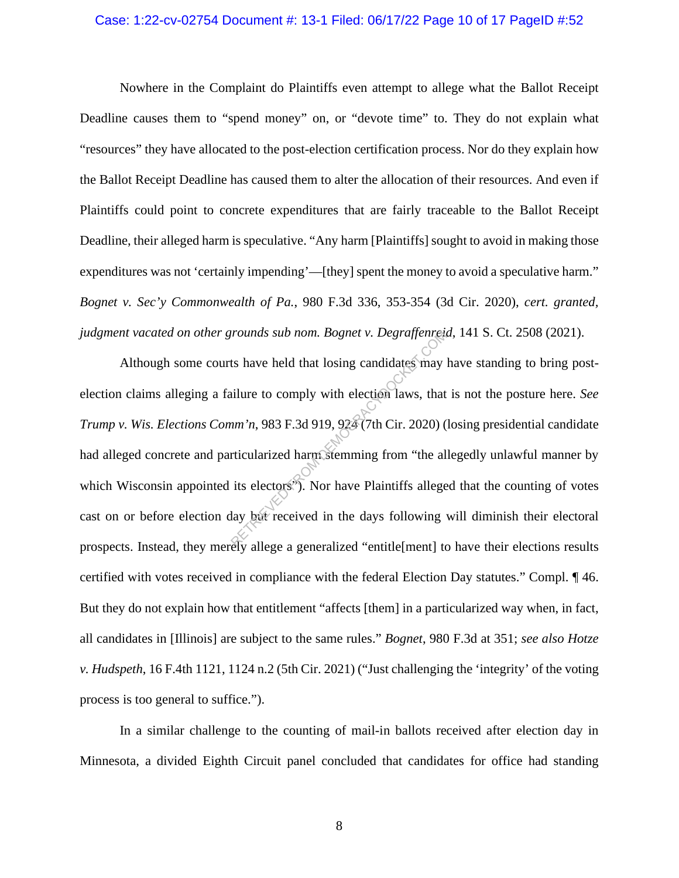#### Case: 1:22-cv-02754 Document #: 13-1 Filed: 06/17/22 Page 10 of 17 PageID #:52

Nowhere in the Complaint do Plaintiffs even attempt to allege what the Ballot Receipt Deadline causes them to "spend money" on, or "devote time" to. They do not explain what "resources" they have allocated to the post-election certification process. Nor do they explain how the Ballot Receipt Deadline has caused them to alter the allocation of their resources. And even if Plaintiffs could point to concrete expenditures that are fairly traceable to the Ballot Receipt Deadline, their alleged harm is speculative. "Any harm [Plaintiffs] sought to avoid in making those expenditures was not 'certainly impending'—[they] spent the money to avoid a speculative harm." *Bognet v. Sec'y Commonwealth of Pa.*, 980 F.3d 336, 353-354 (3d Cir. 2020), *cert. granted, judgment vacated on other grounds sub nom. Bognet v. Degraffenreid*, 141 S. Ct. 2508 (2021).

Although some courts have held that losing candidates may have standing to bring postelection claims alleging a failure to comply with election laws, that is not the posture here. *See Trump v. Wis. Elections Comm'n*, 983 F.3d 919, 924 (7th Cir. 2020) (losing presidential candidate had alleged concrete and particularized harm stemming from "the allegedly unlawful manner by which Wisconsin appointed its electors<sup>.</sup>). Nor have Plaintiffs alleged that the counting of votes cast on or before election day but received in the days following will diminish their electoral prospects. Instead, they merely allege a generalized "entitle[ment] to have their elections results certified with votes received in compliance with the federal Election Day statutes." Compl. ¶ 46. But they do not explain how that entitlement "affects [them] in a particularized way when, in fact, all candidates in [Illinois] are subject to the same rules." *Bognet*, 980 F.3d at 351; *see also Hotze v. Hudspeth*, 16 F.4th 1121, 1124 n.2 (5th Cir. 2021) ("Just challenging the 'integrity' of the voting process is too general to suffice."). From Bognet v. Degraffence.<br>
Its have held that losing candidates may<br>
illure to comply with election laws, that<br>  $nm'n$ , 983 F.3d 919, 924 (7th Cir. 2020)<br>
(rticularized harm stemming from "the all<br>
its electors"). Nor hav

In a similar challenge to the counting of mail-in ballots received after election day in Minnesota, a divided Eighth Circuit panel concluded that candidates for office had standing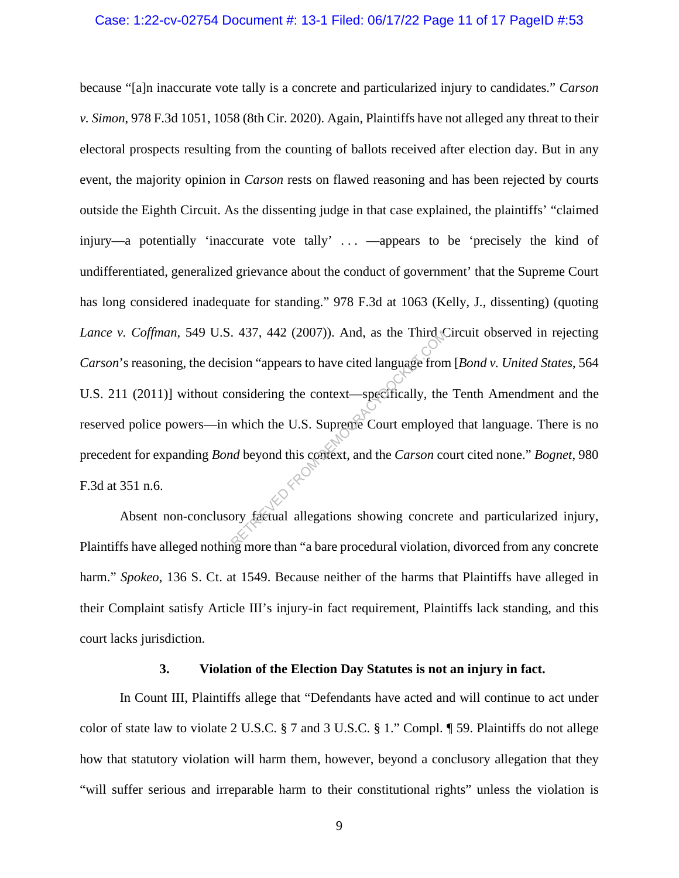#### Case: 1:22-cv-02754 Document #: 13-1 Filed: 06/17/22 Page 11 of 17 PageID #:53

because "[a]n inaccurate vote tally is a concrete and particularized injury to candidates." *Carson v. Simon*, 978 F.3d 1051, 1058 (8th Cir. 2020). Again, Plaintiffs have not alleged any threat to their electoral prospects resulting from the counting of ballots received after election day. But in any event, the majority opinion in *Carson* rests on flawed reasoning and has been rejected by courts outside the Eighth Circuit. As the dissenting judge in that case explained, the plaintiffs' "claimed injury—a potentially 'inaccurate vote tally' . . . —appears to be 'precisely the kind of undifferentiated, generalized grievance about the conduct of government' that the Supreme Court has long considered inadequate for standing." 978 F.3d at 1063 (Kelly, J., dissenting) (quoting *Lance v. Coffman*, 549 U.S. 437, 442 (2007)). And, as the Third Circuit observed in rejecting *Carson*'s reasoning, the decision "appears to have cited language from [*Bond v. United States*, 564 U.S. 211 (2011)] without considering the context—specifically, the Tenth Amendment and the reserved police powers—in which the U.S. Supreme Court employed that language. There is no precedent for expanding *Bond* beyond this context, and the *Carson* court cited none." *Bognet*, 980 F.3d at 351 n.6.  $(437, 442 (2007))$ . And, as the Third of the Sion "appears to have cited language from<br>onsidering the context—specifically, the<br>which the U.S. Supreme Court employe<br>ad beyond this context, and the *Carson* co<br>orly factual

Absent non-conclusory factual allegations showing concrete and particularized injury, Plaintiffs have alleged nothing more than "a bare procedural violation, divorced from any concrete harm." *Spokeo*, 136 S. Ct. at 1549. Because neither of the harms that Plaintiffs have alleged in their Complaint satisfy Article III's injury-in fact requirement, Plaintiffs lack standing, and this court lacks jurisdiction.

#### **3. Violation of the Election Day Statutes is not an injury in fact.**

In Count III, Plaintiffs allege that "Defendants have acted and will continue to act under color of state law to violate 2 U.S.C. § 7 and 3 U.S.C. § 1." Compl. ¶ 59. Plaintiffs do not allege how that statutory violation will harm them, however, beyond a conclusory allegation that they "will suffer serious and irreparable harm to their constitutional rights" unless the violation is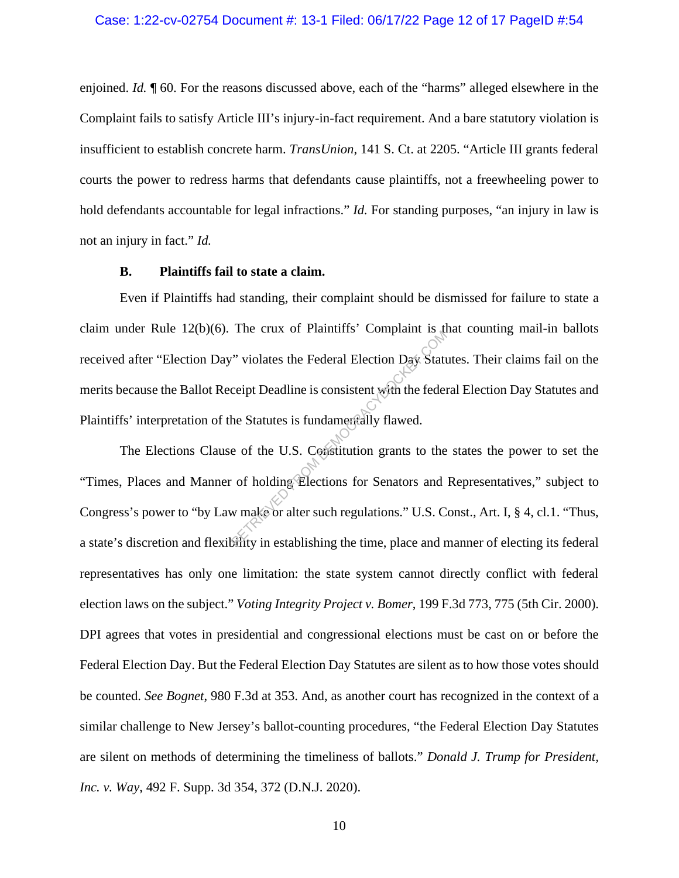#### Case: 1:22-cv-02754 Document #: 13-1 Filed: 06/17/22 Page 12 of 17 PageID #:54

enjoined. *Id.*  $\parallel$  60. For the reasons discussed above, each of the "harms" alleged elsewhere in the Complaint fails to satisfy Article III's injury-in-fact requirement. And a bare statutory violation is insufficient to establish concrete harm. *TransUnion*, 141 S. Ct. at 2205. "Article III grants federal courts the power to redress harms that defendants cause plaintiffs, not a freewheeling power to hold defendants accountable for legal infractions." *Id.* For standing purposes, "an injury in law is not an injury in fact." *Id.*

#### **B. Plaintiffs fail to state a claim.**

Even if Plaintiffs had standing, their complaint should be dismissed for failure to state a claim under Rule 12(b)(6). The crux of Plaintiffs' Complaint is that counting mail-in ballots received after "Election Day" violates the Federal Election Day Statutes. Their claims fail on the merits because the Ballot Receipt Deadline is consistent with the federal Election Day Statutes and Plaintiffs' interpretation of the Statutes is fundamentally flawed.

The Elections Clause of the U.S. Constitution grants to the states the power to set the "Times, Places and Manner of holding Elections for Senators and Representatives," subject to Congress's power to "by Law make or alter such regulations." U.S. Const., Art. I, § 4, cl.1. "Thus, a state's discretion and flexibility in establishing the time, place and manner of electing its federal representatives has only one limitation: the state system cannot directly conflict with federal election laws on the subject." *Voting Integrity Project v. Bomer*, 199 F.3d 773, 775 (5th Cir. 2000). DPI agrees that votes in presidential and congressional elections must be cast on or before the Federal Election Day. But the Federal Election Day Statutes are silent as to how those votes should be counted. *See Bognet*, 980 F.3d at 353. And, as another court has recognized in the context of a similar challenge to New Jersey's ballot-counting procedures, "the Federal Election Day Statutes are silent on methods of determining the timeliness of ballots." *Donald J. Trump for President, Inc. v. Way*, 492 F. Supp. 3d 354, 372 (D.N.J. 2020). rice class of Frammins Complaint is and<br>ceipt Deadline is consistent with the feder<br>he Statutes is fundamentally flawed.<br>e of the U.S. Constitution grants to the<br>of holding Elections for Senators and<br>w make or alter such r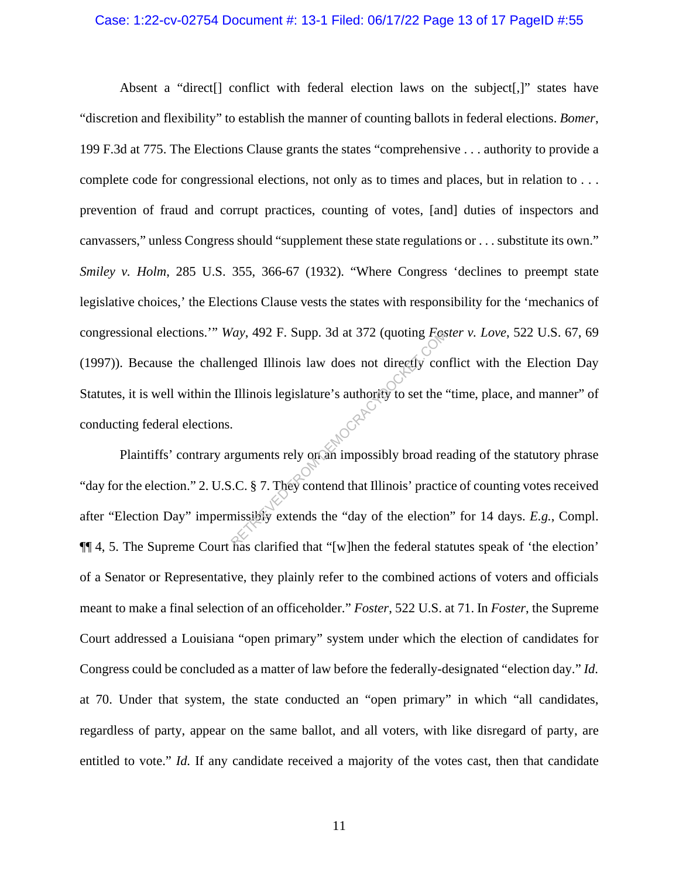#### Case: 1:22-cv-02754 Document #: 13-1 Filed: 06/17/22 Page 13 of 17 PageID #:55

Absent a "direct<sup>[]</sup> conflict with federal election laws on the subject<sup>[1]</sup>, states have "discretion and flexibility" to establish the manner of counting ballots in federal elections. *Bomer*, 199 F.3d at 775. The Elections Clause grants the states "comprehensive . . . authority to provide a complete code for congressional elections, not only as to times and places, but in relation to . . . prevention of fraud and corrupt practices, counting of votes, [and] duties of inspectors and canvassers," unless Congress should "supplement these state regulations or . . . substitute its own." *Smiley v. Holm*, 285 U.S. 355, 366-67 (1932). "Where Congress 'declines to preempt state legislative choices,' the Elections Clause vests the states with responsibility for the 'mechanics of congressional elections.'" *Way*, 492 F. Supp. 3d at 372 (quoting *Foster v. Love*, 522 U.S. 67, 69 (1997)). Because the challenged Illinois law does not directly conflict with the Election Day Statutes, it is well within the Illinois legislature's authority to set the "time, place, and manner" of conducting federal elections. Ay, 492 F. Supp. 3d at 372 (quoting  $F_{CS}$ )<br>
enged Illinois law does not directly con<br>
Illinois legislature's authority to set the<br>
enguments rely on an impossibly broad rely<br>
C.C. § 7. They contend that Illinois' practic

Plaintiffs' contrary arguments rely on an impossibly broad reading of the statutory phrase "day for the election." 2. U.S.C. § 7. They contend that Illinois' practice of counting votes received after "Election Day" impermissibly extends the "day of the election" for 14 days. *E.g.*, Compl. ¶¶ 4, 5. The Supreme Court has clarified that "[w]hen the federal statutes speak of 'the election' of a Senator or Representative, they plainly refer to the combined actions of voters and officials meant to make a final selection of an officeholder." *Foster*, 522 U.S. at 71. In *Foster*, the Supreme Court addressed a Louisiana "open primary" system under which the election of candidates for Congress could be concluded as a matter of law before the federally-designated "election day." *Id.* at 70. Under that system, the state conducted an "open primary" in which "all candidates, regardless of party, appear on the same ballot, and all voters, with like disregard of party, are entitled to vote." *Id.* If any candidate received a majority of the votes cast, then that candidate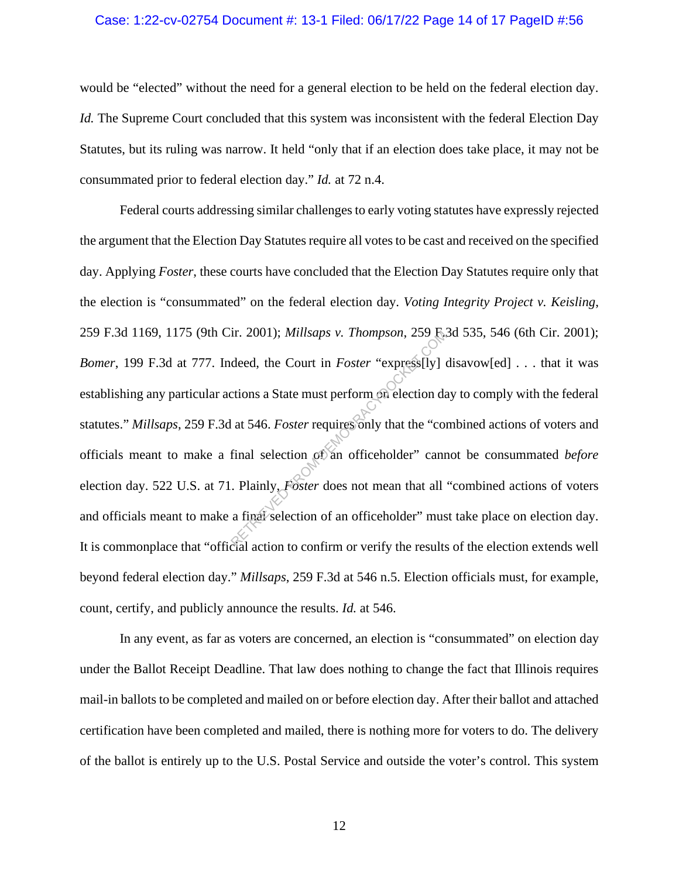#### Case: 1:22-cv-02754 Document #: 13-1 Filed: 06/17/22 Page 14 of 17 PageID #:56

would be "elected" without the need for a general election to be held on the federal election day. *Id.* The Supreme Court concluded that this system was inconsistent with the federal Election Day Statutes, but its ruling was narrow. It held "only that if an election does take place, it may not be consummated prior to federal election day." *Id.* at 72 n.4.

Federal courts addressing similar challenges to early voting statutes have expressly rejected the argument that the Election Day Statutes require all votes to be cast and received on the specified day. Applying *Foster*, these courts have concluded that the Election Day Statutes require only that the election is "consummated" on the federal election day. *Voting Integrity Project v. Keisling*, 259 F.3d 1169, 1175 (9th Cir. 2001); *Millsaps v. Thompson*, 259 F.3d 535, 546 (6th Cir. 2001); *Bomer*, 199 F.3d at 777. Indeed, the Court in *Foster* "express[ly] disavow[ed] . . . that it was establishing any particular actions a State must perform on election day to comply with the federal statutes." *Millsaps*, 259 F.3d at 546. *Foster* requires only that the "combined actions of voters and officials meant to make a final selection of an officeholder" cannot be consummated *before* election day. 522 U.S. at 71. Plainly, *Foster* does not mean that all "combined actions of voters and officials meant to make a final selection of an officeholder" must take place on election day. It is commonplace that "official action to confirm or verify the results of the election extends well beyond federal election day." *Millsaps*, 259 F.3d at 546 n.5. Election officials must, for example, count, certify, and publicly announce the results. *Id.* at 546. Ir. 2001); *Millsaps v. Thompson*, 259<br>deed, the Court in *Foster* "express[ly] of<br>discussions a State must perform on election da<br>at 546. *Foster* requires only that the "confinal selection of an officeholder" can<br>Plainly

In any event, as far as voters are concerned, an election is "consummated" on election day under the Ballot Receipt Deadline. That law does nothing to change the fact that Illinois requires mail-in ballots to be completed and mailed on or before election day. After their ballot and attached certification have been completed and mailed, there is nothing more for voters to do. The delivery of the ballot is entirely up to the U.S. Postal Service and outside the voter's control. This system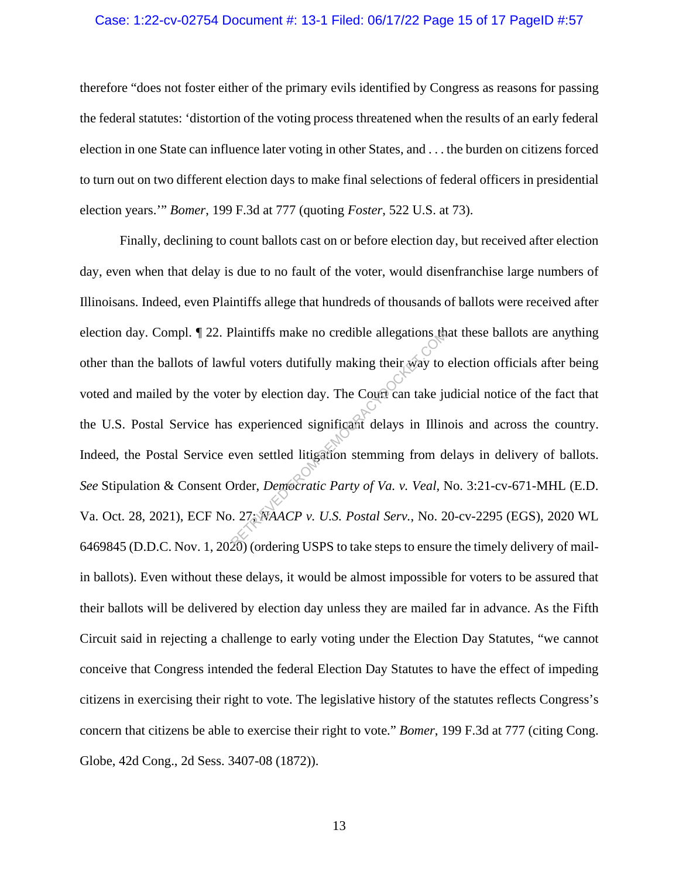#### Case: 1:22-cv-02754 Document #: 13-1 Filed: 06/17/22 Page 15 of 17 PageID #:57

therefore "does not foster either of the primary evils identified by Congress as reasons for passing the federal statutes: 'distortion of the voting process threatened when the results of an early federal election in one State can influence later voting in other States, and . . . the burden on citizens forced to turn out on two different election days to make final selections of federal officers in presidential election years.'" *Bomer*, 199 F.3d at 777 (quoting *Foster*, 522 U.S. at 73).

Finally, declining to count ballots cast on or before election day, but received after election day, even when that delay is due to no fault of the voter, would disenfranchise large numbers of Illinoisans. Indeed, even Plaintiffs allege that hundreds of thousands of ballots were received after election day. Compl. ¶ 22. Plaintiffs make no credible allegations that these ballots are anything other than the ballots of lawful voters dutifully making their way to election officials after being voted and mailed by the voter by election day. The Court can take judicial notice of the fact that the U.S. Postal Service has experienced significant delays in Illinois and across the country. Indeed, the Postal Service even settled litigation stemming from delays in delivery of ballots. *See* Stipulation & Consent Order, *Democratic Party of Va. v. Veal*, No. 3:21-cv-671-MHL (E.D. Va. Oct. 28, 2021), ECF No. 27; *NAACP v. U.S. Postal Serv.*, No. 20-cv-2295 (EGS), 2020 WL 6469845 (D.D.C. Nov. 1, 2020) (ordering USPS to take steps to ensure the timely delivery of mailin ballots). Even without these delays, it would be almost impossible for voters to be assured that their ballots will be delivered by election day unless they are mailed far in advance. As the Fifth Circuit said in rejecting a challenge to early voting under the Election Day Statutes, "we cannot conceive that Congress intended the federal Election Day Statutes to have the effect of impeding citizens in exercising their right to vote. The legislative history of the statutes reflects Congress's concern that citizens be able to exercise their right to vote." *Bomer*, 199 F.3d at 777 (citing Cong. Globe, 42d Cong., 2d Sess. 3407-08 (1872)). Plaintiffs make no credible allegations the<br>ful voters dutifully making their way to<br>er by election day. The Court can take ju<br>s experienced significant delays in Illin<br>even settled litigation stemming from d<br>Drder, *Demo*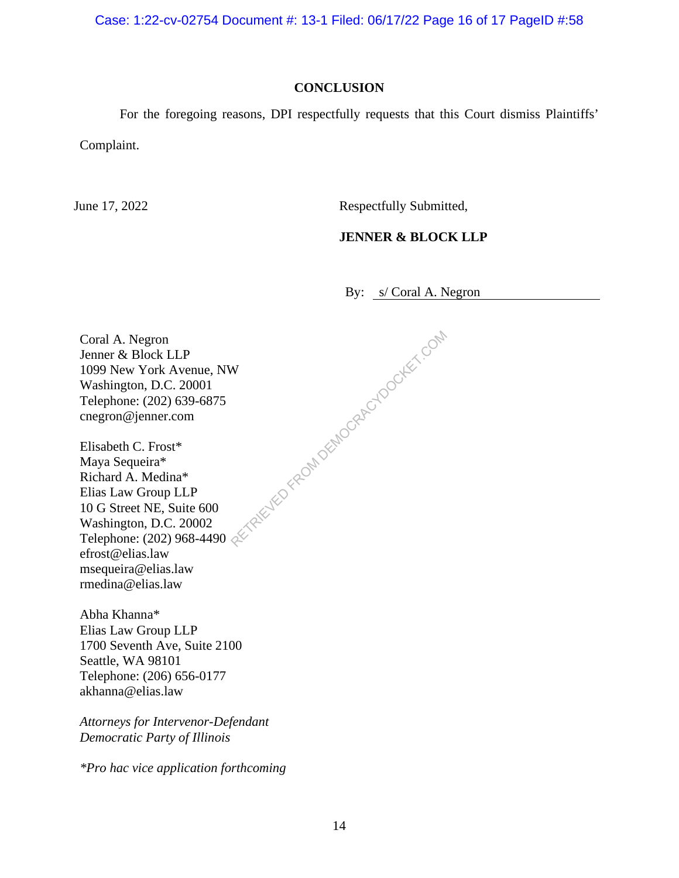Case: 1:22-cv-02754 Document #: 13-1 Filed: 06/17/22 Page 16 of 17 PageID #:58

### **CONCLUSION**

For the foregoing reasons, DPI respectfully requests that this Court dismiss Plaintiffs'

Complaint.

June 17, 2022 Respectfully Submitted,

### **JENNER & BLOCK LLP**

By: s/ Coral A. Negron

Coral A. Negron Jenner & Block LLP 1099 New York Avenue, NW Washington, D.C. 20001 Telephone: (202) 639-6875 cnegron@jenner.com TRIEVED FROM DEMOCRACYDOCKET.COM

Elisabeth C. Frost\* Maya Sequeira\* Richard A. Medina\* Elias Law Group LLP 10 G Street NE, Suite 600 Washington, D.C. 20002 Telephone: (202) 968-4490 efrost@elias.law msequeira@elias.law rmedina@elias.law

Abha Khanna\* Elias Law Group LLP 1700 Seventh Ave, Suite 2100 Seattle, WA 98101 Telephone: (206) 656-0177 akhanna@elias.law

*Attorneys for Intervenor-Defendant Democratic Party of Illinois* 

*\*Pro hac vice application forthcoming*